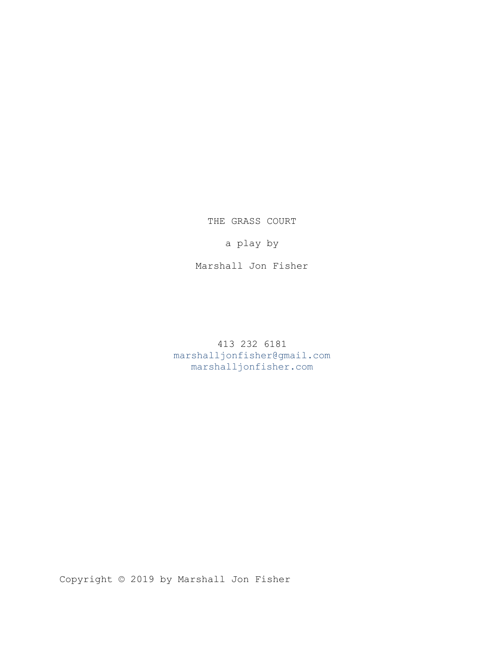THE GRASS COURT

a play by

Marshall Jon Fisher

413 232 6181 marshalljonfisher@gmail.com marshalljonfisher.com

Copyright © 2019 by Marshall Jon Fisher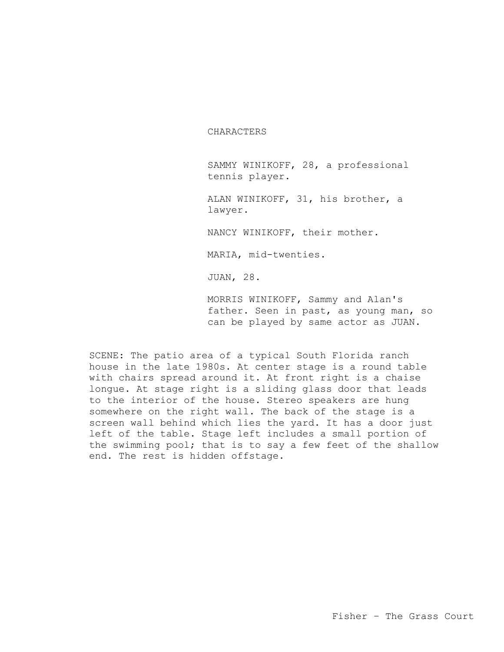# CHARACTERS

SAMMY WINIKOFF, 28, a professional tennis player.

ALAN WINIKOFF, 31, his brother, a lawyer.

NANCY WINIKOFF, their mother.

MARIA, mid-twenties.

JUAN, 28.

MORRIS WINIKOFF, Sammy and Alan's father. Seen in past, as young man, so can be played by same actor as JUAN.

SCENE: The patio area of a typical South Florida ranch house in the late 1980s. At center stage is a round table with chairs spread around it. At front right is a chaise longue. At stage right is a sliding glass door that leads to the interior of the house. Stereo speakers are hung somewhere on the right wall. The back of the stage is a screen wall behind which lies the yard. It has a door just left of the table. Stage left includes a small portion of the swimming pool; that is to say a few feet of the shallow end. The rest is hidden offstage.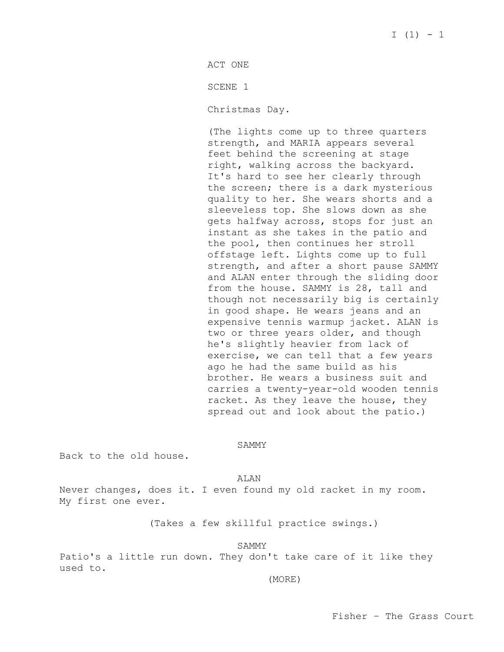ACT ONE

SCENE 1

Christmas Day.

(The lights come up to three quarters strength, and MARIA appears several feet behind the screening at stage right, walking across the backyard. It's hard to see her clearly through the screen; there is a dark mysterious quality to her. She wears shorts and a sleeveless top. She slows down as she gets halfway across, stops for just an instant as she takes in the patio and the pool, then continues her stroll offstage left. Lights come up to full strength, and after a short pause SAMMY and ALAN enter through the sliding door from the house. SAMMY is 28, tall and though not necessarily big is certainly in good shape. He wears jeans and an expensive tennis warmup jacket. ALAN is two or three years older, and though he's slightly heavier from lack of exercise, we can tell that a few years ago he had the same build as his brother. He wears a business suit and carries a twenty-year-old wooden tennis racket. As they leave the house, they spread out and look about the patio.)

#### SAMMY

Back to the old house.

ALAN

Never changes, does it. I even found my old racket in my room. My first one ever.

(Takes a few skillful practice swings.)

SAMMY

Patio's a little run down. They don't take care of it like they used to.

(MORE)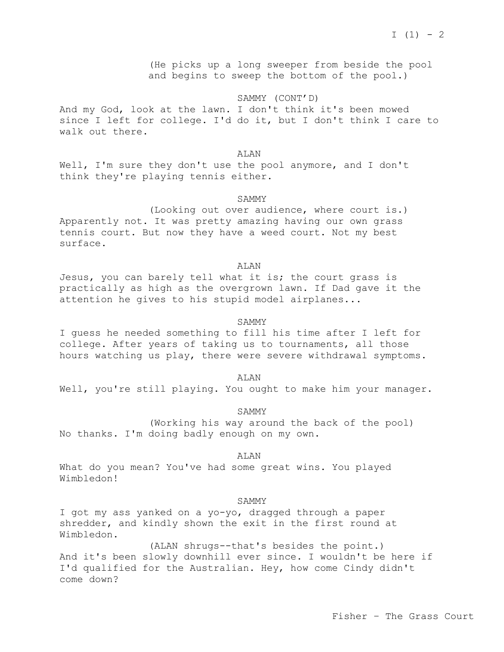(He picks up a long sweeper from beside the pool and begins to sweep the bottom of the pool.)

# SAMMY (CONT'D)

And my God, look at the lawn. I don't think it's been mowed since I left for college. I'd do it, but I don't think I care to walk out there.

ALAN

Well, I'm sure they don't use the pool anymore, and I don't think they're playing tennis either.

## SAMMY

(Looking out over audience, where court is.) Apparently not. It was pretty amazing having our own grass tennis court. But now they have a weed court. Not my best surface.

## ALAN

Jesus, you can barely tell what it is; the court grass is practically as high as the overgrown lawn. If Dad gave it the attention he gives to his stupid model airplanes...

# SAMMY

I guess he needed something to fill his time after I left for college. After years of taking us to tournaments, all those hours watching us play, there were severe withdrawal symptoms.

ALAN

Well, you're still playing. You ought to make him your manager.

SAMMY

(Working his way around the back of the pool) No thanks. I'm doing badly enough on my own.

#### ALAN

What do you mean? You've had some great wins. You played Wimbledon!

#### SAMMY

I got my ass yanked on a yo-yo, dragged through a paper shredder, and kindly shown the exit in the first round at Wimbledon.

(ALAN shrugs--that's besides the point.) And it's been slowly downhill ever since. I wouldn't be here if I'd qualified for the Australian. Hey, how come Cindy didn't come down?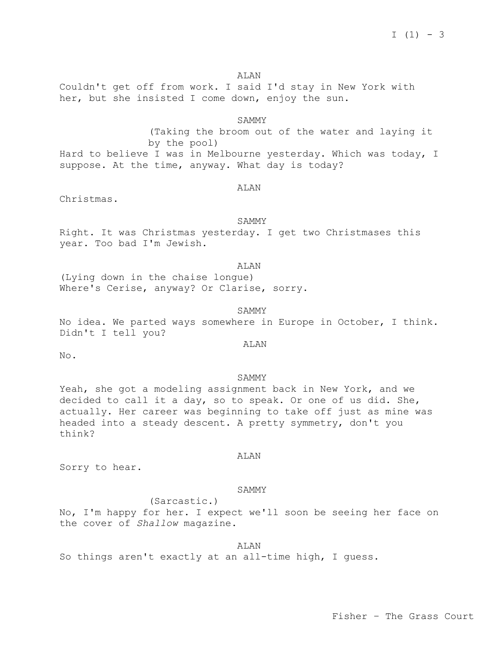### ALAN

Couldn't get off from work. I said I'd stay in New York with her, but she insisted I come down, enjoy the sun.

# SAMMY

(Taking the broom out of the water and laying it by the pool) Hard to believe I was in Melbourne yesterday. Which was today, I suppose. At the time, anyway. What day is today?

### ALAN

Christmas.

# SAMMY

Right. It was Christmas yesterday. I get two Christmases this year. Too bad I'm Jewish.

### ALAN

(Lying down in the chaise longue) Where's Cerise, anyway? Or Clarise, sorry.

SAMMY

No idea. We parted ways somewhere in Europe in October, I think. Didn't I tell you?

# ALAN

 $N<sub>0</sub>$ .

#### SAMMY

Yeah, she got a modeling assignment back in New York, and we decided to call it a day, so to speak. Or one of us did. She, actually. Her career was beginning to take off just as mine was headed into a steady descent. A pretty symmetry, don't you think?

#### ALAN

Sorry to hear.

## SAMMY

(Sarcastic.) No, I'm happy for her. I expect we'll soon be seeing her face on the cover of *Shallow* magazine.

ALAN So things aren't exactly at an all-time high, I guess.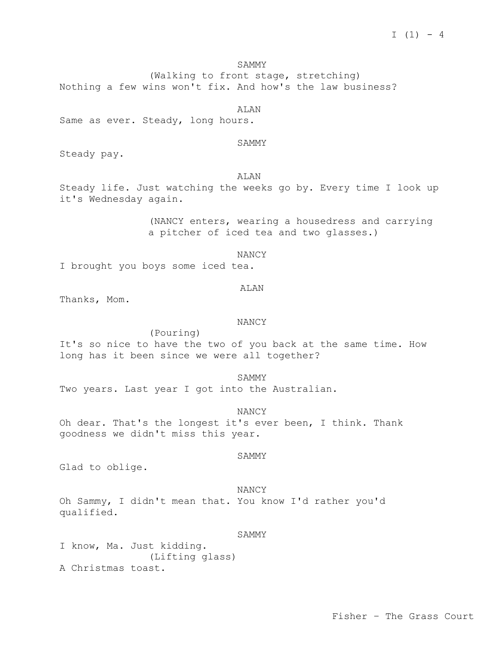Fisher – The Grass Court

# SAMMY

(Walking to front stage, stretching) Nothing a few wins won't fix. And how's the law business?

# **ALAN**

Same as ever. Steady, long hours.

## SAMMY

Steady pay.

# ALAN

Steady life. Just watching the weeks go by. Every time I look up it's Wednesday again.

> (NANCY enters, wearing a housedress and carrying a pitcher of iced tea and two glasses.)

> > NANCY

I brought you boys some iced tea.

(Pouring)

#### ALAN

Thanks, Mom.

# NANCY

It's so nice to have the two of you back at the same time. How long has it been since we were all together?

SAMMY

Two years. Last year I got into the Australian.

NANCY Oh dear. That's the longest it's ever been, I think. Thank goodness we didn't miss this year.

#### SAMMY

Glad to oblige.

NANCY Oh Sammy, I didn't mean that. You know I'd rather you'd qualified.

### SAMMY

I know, Ma. Just kidding. (Lifting glass) A Christmas toast.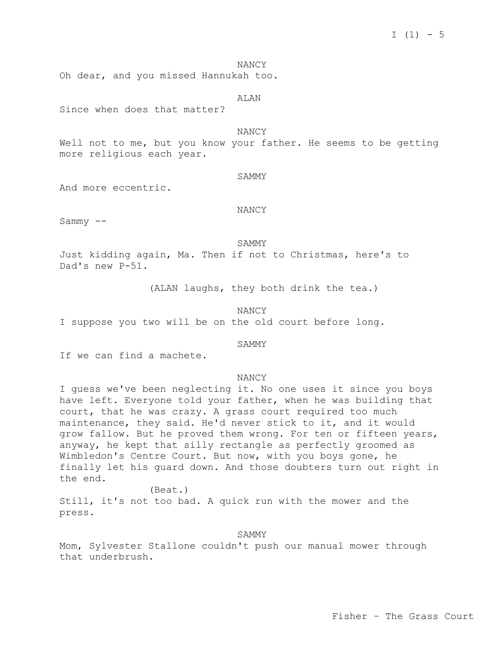NANCY

Oh dear, and you missed Hannukah too.

#### ALAN

Since when does that matter?

NANCY

Well not to me, but you know your father. He seems to be getting more religious each year.

# SAMMY

And more eccentric.

### NANCY

Sammy  $--$ 

SAMMY

Just kidding again, Ma. Then if not to Christmas, here's to Dad's new P-51.

(ALAN laughs, they both drink the tea.)

NANCY

I suppose you two will be on the old court before long.

## SAMMY

If we can find a machete.

#### NANCY

I guess we've been neglecting it. No one uses it since you boys have left. Everyone told your father, when he was building that court, that he was crazy. A grass court required too much maintenance, they said. He'd never stick to it, and it would grow fallow. But he proved them wrong. For ten or fifteen years, anyway, he kept that silly rectangle as perfectly groomed as Wimbledon's Centre Court. But now, with you boys gone, he finally let his guard down. And those doubters turn out right in the end.

# (Beat.)

Still, it's not too bad. A quick run with the mower and the press.

### SAMMY

Mom, Sylvester Stallone couldn't push our manual mower through that underbrush.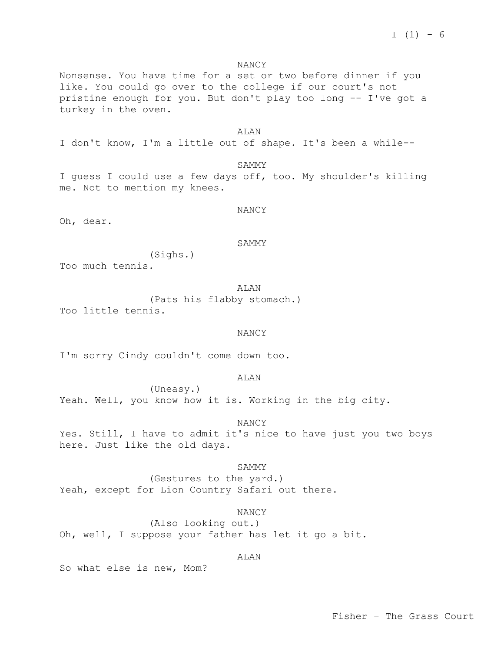Fisher – The Grass Court

# $I (1) - 6$

### NANCY

Nonsense. You have time for a set or two before dinner if you like. You could go over to the college if our court's not pristine enough for you. But don't play too long -- I've got a turkey in the oven.

I don't know, I'm a little out of shape. It's been a while--

ALAN

SAMMY I guess I could use a few days off, too. My shoulder's killing me. Not to mention my knees.

NANCY

Oh, dear.

SAMMY

(Sighs.)

Too much tennis.

ALAN (Pats his flabby stomach.) Too little tennis.

# NANCY

I'm sorry Cindy couldn't come down too.

ALAN

(Uneasy.) Yeah. Well, you know how it is. Working in the big city.

NANCY Yes. Still, I have to admit it's nice to have just you two boys here. Just like the old days.

# SAMMY

(Gestures to the yard.) Yeah, except for Lion Country Safari out there.

# NANCY

(Also looking out.) Oh, well, I suppose your father has let it go a bit.

# ALAN

So what else is new, Mom?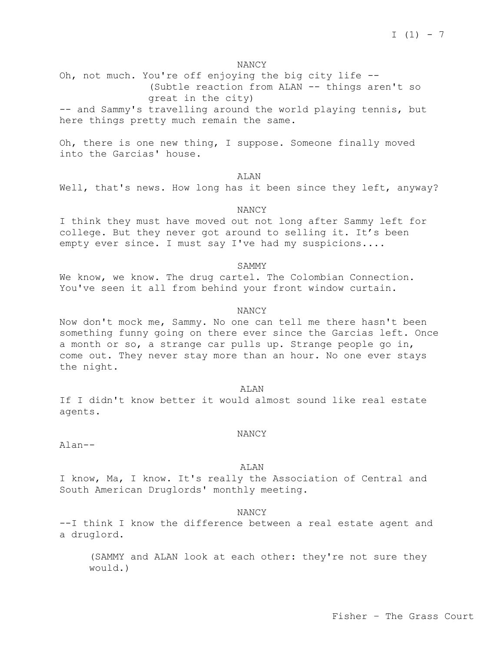NANCY

Oh, not much. You're off enjoying the big city life -- (Subtle reaction from ALAN -- things aren't so

great in the city)

-- and Sammy's travelling around the world playing tennis, but here things pretty much remain the same.

Oh, there is one new thing, I suppose. Someone finally moved into the Garcias' house.

ALAN

Well, that's news. How long has it been since they left, anyway?

# NANCY

I think they must have moved out not long after Sammy left for college. But they never got around to selling it. It's been empty ever since. I must say I've had my suspicions....

SAMMY

We know, we know. The drug cartel. The Colombian Connection. You've seen it all from behind your front window curtain.

### NANCY

Now don't mock me, Sammy. No one can tell me there hasn't been something funny going on there ever since the Garcias left. Once a month or so, a strange car pulls up. Strange people go in, come out. They never stay more than an hour. No one ever stays the night.

ALAN

If I didn't know better it would almost sound like real estate agents.

NANCY

Alan--

ALAN

I know, Ma, I know. It's really the Association of Central and South American Druglords' monthly meeting.

# NANCY

--I think I know the difference between a real estate agent and a druglord.

(SAMMY and ALAN look at each other: they're not sure they would.)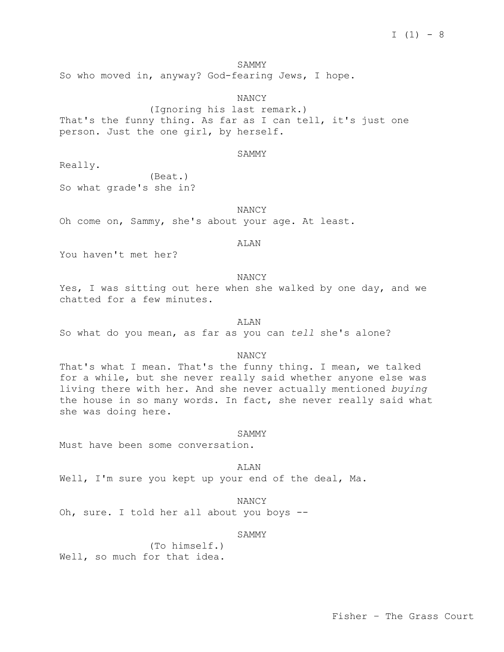SAMMY

So who moved in, anyway? God-fearing Jews, I hope.

NANCY

(Ignoring his last remark.) That's the funny thing. As far as I can tell, it's just one person. Just the one girl, by herself.

SAMMY

Really.

(Beat.) So what grade's she in?

NANCY

Oh come on, Sammy, she's about your age. At least.

ALAN

You haven't met her?

# NANCY

Yes, I was sitting out here when she walked by one day, and we chatted for a few minutes.

ALAN

So what do you mean, as far as you can *tell* she's alone?

NANCY

That's what I mean. That's the funny thing. I mean, we talked for a while, but she never really said whether anyone else was living there with her. And she never actually mentioned *buying* the house in so many words. In fact, she never really said what she was doing here.

SAMMY

Must have been some conversation.

ALAN Well, I'm sure you kept up your end of the deal, Ma.

NANCY

Oh, sure. I told her all about you boys --

SAMMY

(To himself.) Well, so much for that idea.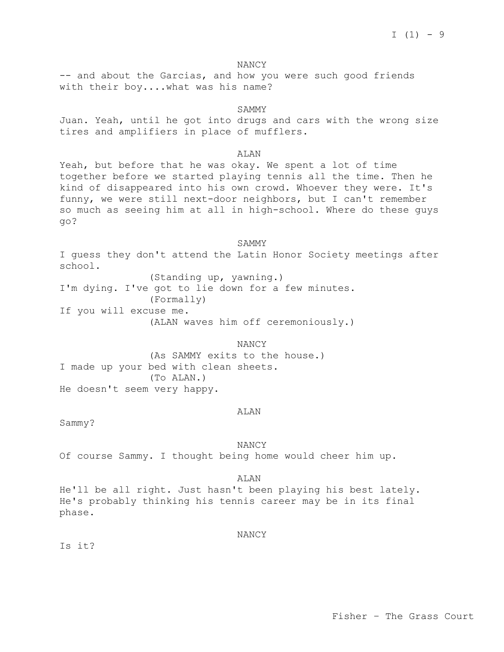# NANCY

-- and about the Garcias, and how you were such good friends with their boy....what was his name?

# SAMMY

Juan. Yeah, until he got into drugs and cars with the wrong size tires and amplifiers in place of mufflers.

#### ALAN

Yeah, but before that he was okay. We spent a lot of time together before we started playing tennis all the time. Then he kind of disappeared into his own crowd. Whoever they were. It's funny, we were still next-door neighbors, but I can't remember so much as seeing him at all in high-school. Where do these guys go?

SAMMY I guess they don't attend the Latin Honor Society meetings after school.

(Standing up, yawning.) I'm dying. I've got to lie down for a few minutes. (Formally) If you will excuse me. (ALAN waves him off ceremoniously.)

NANCY (As SAMMY exits to the house.) I made up your bed with clean sheets. (To ALAN.) He doesn't seem very happy.

### ALAN

Sammy?

NANCY

Of course Sammy. I thought being home would cheer him up.

ALAN

He'll be all right. Just hasn't been playing his best lately. He's probably thinking his tennis career may be in its final phase.

NANCY

Is it?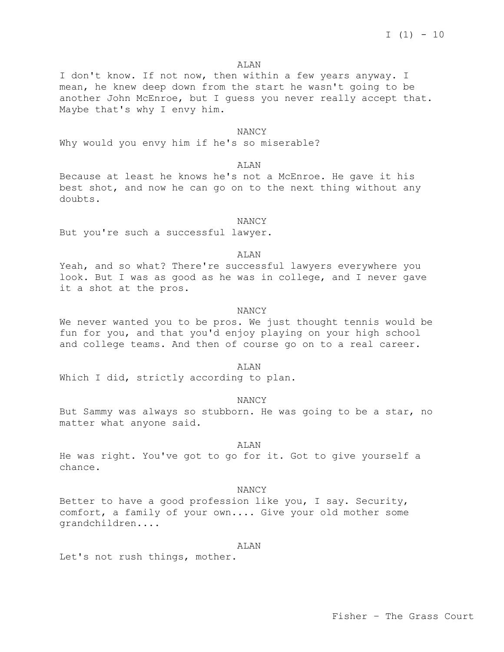# ALAN

I don't know. If not now, then within a few years anyway. I mean, he knew deep down from the start he wasn't going to be another John McEnroe, but I guess you never really accept that. Maybe that's why I envy him.

# NANCY

Why would you envy him if he's so miserable?

ALAN

Because at least he knows he's not a McEnroe. He gave it his best shot, and now he can go on to the next thing without any doubts.

### NANCY

But you're such a successful lawyer.

#### ALAN

Yeah, and so what? There're successful lawyers everywhere you look. But I was as good as he was in college, and I never gave it a shot at the pros.

#### NANCY

We never wanted you to be pros. We just thought tennis would be fun for you, and that you'd enjoy playing on your high school and college teams. And then of course go on to a real career.

## ALAN

Which I did, strictly according to plan.

NANCY

But Sammy was always so stubborn. He was going to be a star, no matter what anyone said.

ALAN

He was right. You've got to go for it. Got to give yourself a chance.

# NANCY

Better to have a good profession like you, I say. Security, comfort, a family of your own.... Give your old mother some grandchildren....

### ALAN

Let's not rush things, mother.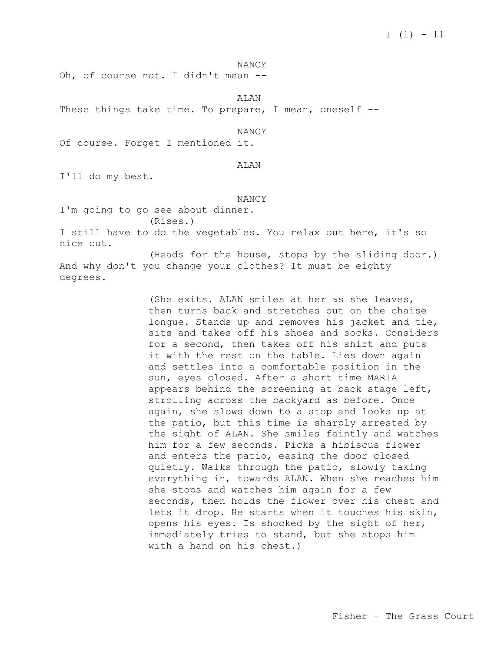NANCY

Oh, of course not. I didn't mean --

ALAN

These things take time. To prepare, I mean, oneself --

NANCY

Of course. Forget I mentioned it.

### ALAN

I'll do my best.

#### NANCY

I'm going to go see about dinner. (Rises.)

I still have to do the vegetables. You relax out here, it's so nice out.

(Heads for the house, stops by the sliding door.) And why don't you change your clothes? It must be eighty degrees.

> (She exits. ALAN smiles at her as she leaves, then turns back and stretches out on the chaise longue. Stands up and removes his jacket and tie, sits and takes off his shoes and socks. Considers for a second, then takes off his shirt and puts it with the rest on the table. Lies down again and settles into a comfortable position in the sun, eyes closed. After a short time MARIA appears behind the screening at back stage left, strolling across the backyard as before. Once again, she slows down to a stop and looks up at the patio, but this time is sharply arrested by the sight of ALAN. She smiles faintly and watches him for a few seconds. Picks a hibiscus flower and enters the patio, easing the door closed quietly. Walks through the patio, slowly taking everything in, towards ALAN. When she reaches him she stops and watches him again for a few seconds, then holds the flower over his chest and lets it drop. He starts when it touches his skin, opens his eyes. Is shocked by the sight of her, immediately tries to stand, but she stops him with a hand on his chest.)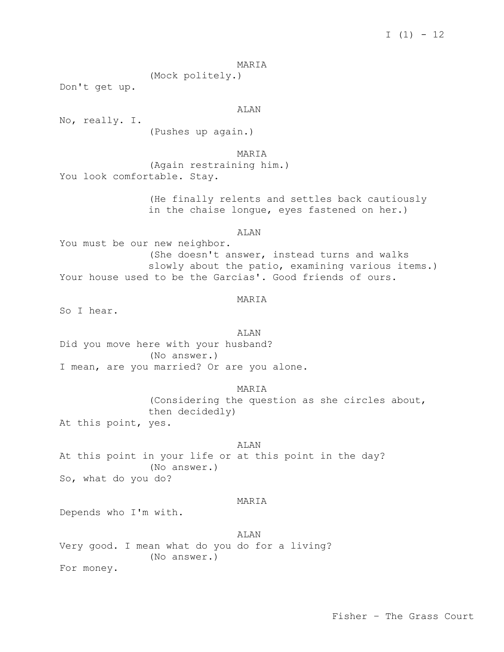MARIA

Don't get up.

ALAN

No, really. I. (Pushes up again.)

MARIA

(Again restraining him.) You look comfortable. Stay.

(Mock politely.)

(He finally relents and settles back cautiously in the chaise longue, eyes fastened on her.)

ALAN

You must be our new neighbor. (She doesn't answer, instead turns and walks slowly about the patio, examining various items.) Your house used to be the Garcias'. Good friends of ours.

MARIA

So I hear.

ALAN

Did you move here with your husband? (No answer.) I mean, are you married? Or are you alone.

MARIA

(Considering the question as she circles about, then decidedly) At this point, yes.

ALAN

At this point in your life or at this point in the day? (No answer.) So, what do you do?

# MARIA

Depends who I'm with.

ALAN Very good. I mean what do you do for a living? (No answer.) For money.

Fisher – The Grass Court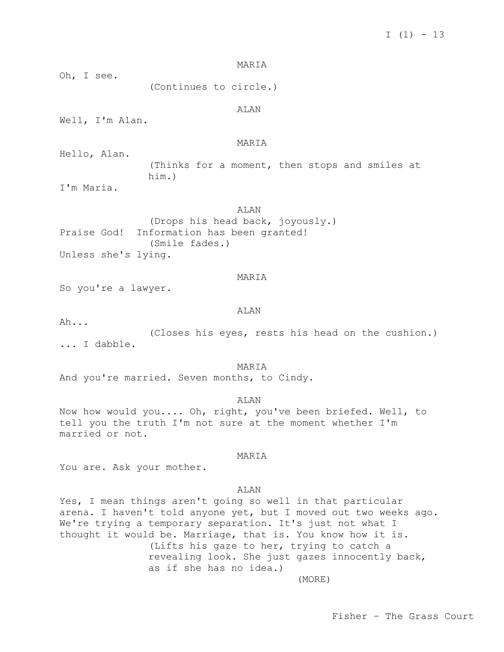MARIA

Oh, I see.

(Continues to circle.)

ALAN

Well, I'm Alan.

MARIA

Hello, Alan.

(Thinks for a moment, then stops and smiles at him.)

I'm Maria.

# ALAN

(Drops his head back, joyously.) Praise God! Information has been granted! (Smile fades.) Unless she's lying.

MARIA

So you're a lawyer.

### ALAN

Ah...

(Closes his eyes, rests his head on the cushion.) ... I dabble.

MARIA

And you're married. Seven months, to Cindy.

ALAN

Now how would you.... Oh, right, you've been briefed. Well, to tell you the truth I'm not sure at the moment whether I'm married or not.

#### MARIA

You are. Ask your mother.

# ALAN

Yes, I mean things aren't going so well in that particular arena. I haven't told anyone yet, but I moved out two weeks ago. We're trying a temporary separation. It's just not what I thought it would be. Marriage, that is. You know how it is. (Lifts his gaze to her, trying to catch a revealing look. She just gazes innocently back, as if she has no idea.)

(MORE)

Fisher – The Grass Court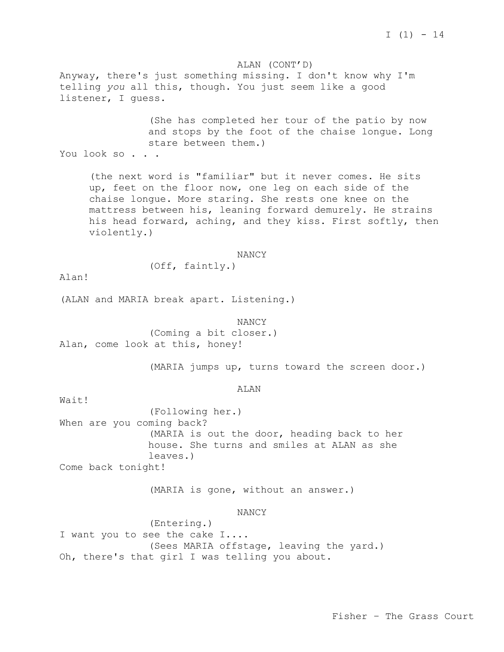ALAN (CONT'D) Anyway, there's just something missing. I don't know why I'm telling *you* all this, though. You just seem like a good listener, I guess. (She has completed her tour of the patio by now and stops by the foot of the chaise longue. Long stare between them.) You look so . . . (the next word is "familiar" but it never comes. He sits up, feet on the floor now, one leg on each side of the chaise longue. More staring. She rests one knee on the mattress between his, leaning forward demurely. He strains his head forward, aching, and they kiss. First softly, then violently.) NANCY (Off, faintly.) Alan! (ALAN and MARIA break apart. Listening.) NANCY (Coming a bit closer.) Alan, come look at this, honey! (MARIA jumps up, turns toward the screen door.)

# ALAN

Wait! (Following her.) When are you coming back? (MARIA is out the door, heading back to her house. She turns and smiles at ALAN as she leaves.)

Come back tonight!

(MARIA is gone, without an answer.)

# NANCY

(Entering.) I want you to see the cake I.... (Sees MARIA offstage, leaving the yard.) Oh, there's that girl I was telling you about.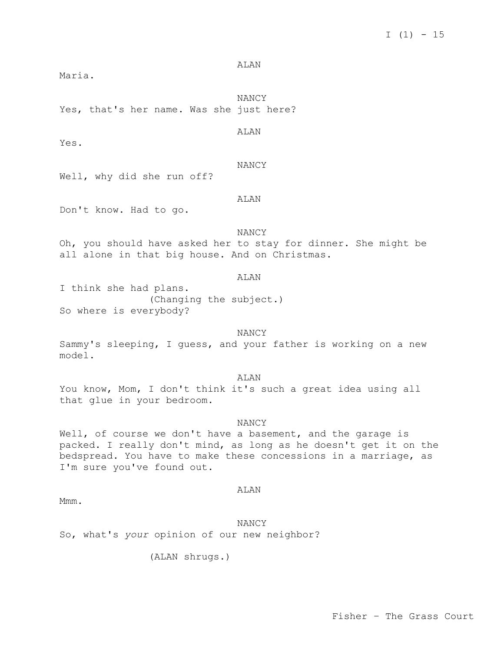ALAN

Maria.

NANCY Yes, that's her name. Was she just here?

ALAN

Yes.

NANCY

Well, why did she run off?

ALAN

Don't know. Had to go.

NANCY

Oh, you should have asked her to stay for dinner. She might be all alone in that big house. And on Christmas.

ALAN

I think she had plans. (Changing the subject.) So where is everybody?

# NANCY

Sammy's sleeping, I guess, and your father is working on a new model.

ALAN

You know, Mom, I don't think it's such a great idea using all that glue in your bedroom.

# NANCY

Well, of course we don't have a basement, and the garage is packed. I really don't mind, as long as he doesn't get it on the bedspread. You have to make these concessions in a marriage, as I'm sure you've found out.

# ALAN

Mmm.

NANCY So, what's *your* opinion of our new neighbor?

(ALAN shrugs.)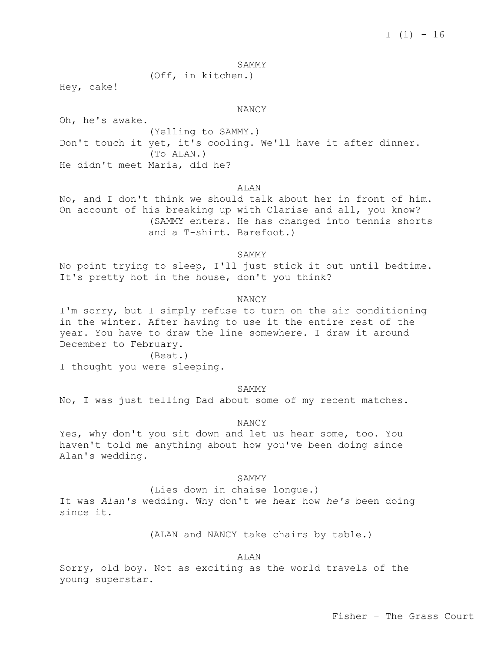SAMMY

(Off, in kitchen.)

Hey, cake!

# NANCY

Oh, he's awake. (Yelling to SAMMY.) Don't touch it yet, it's cooling. We'll have it after dinner. (To ALAN.) He didn't meet Maria, did he?

# ALAN

No, and I don't think we should talk about her in front of him. On account of his breaking up with Clarise and all, you know? (SAMMY enters. He has changed into tennis shorts and a T-shirt. Barefoot.)

### SAMMY

No point trying to sleep, I'll just stick it out until bedtime. It's pretty hot in the house, don't you think?

NANCY

I'm sorry, but I simply refuse to turn on the air conditioning in the winter. After having to use it the entire rest of the year. You have to draw the line somewhere. I draw it around December to February.

(Beat.)

I thought you were sleeping.

## SAMMY

No, I was just telling Dad about some of my recent matches.

# NANCY

Yes, why don't you sit down and let us hear some, too. You haven't told me anything about how you've been doing since Alan's wedding.

#### SAMMY

(Lies down in chaise longue.)

It was *Alan's* wedding. Why don't we hear how *he's* been doing since it.

(ALAN and NANCY take chairs by table.)

ALAN

Sorry, old boy. Not as exciting as the world travels of the young superstar.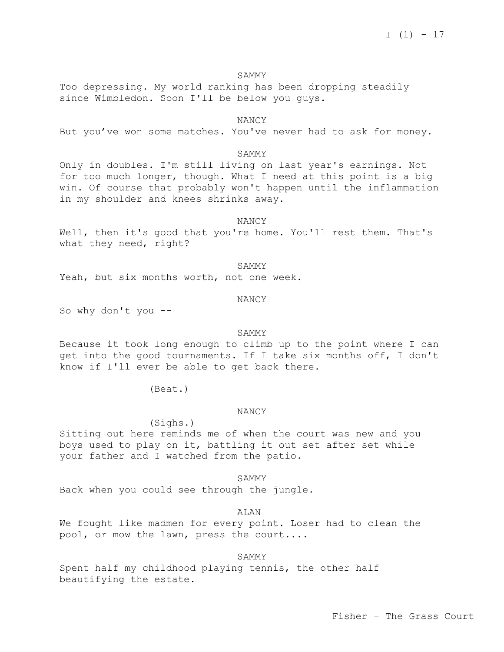#### SAMMY

Too depressing. My world ranking has been dropping steadily since Wimbledon. Soon I'll be below you guys.

NANCY

But you've won some matches. You've never had to ask for money.

# SAMMY

Only in doubles. I'm still living on last year's earnings. Not for too much longer, though. What I need at this point is a big win. Of course that probably won't happen until the inflammation in my shoulder and knees shrinks away.

NANCY

Well, then it's good that you're home. You'll rest them. That's what they need, right?

SAMMY

Yeah, but six months worth, not one week.

NANCY

So why don't you --

# SAMMY

Because it took long enough to climb up to the point where I can get into the good tournaments. If I take six months off, I don't know if I'll ever be able to get back there.

(Beat.)

## NANCY

(Sighs.)

Sitting out here reminds me of when the court was new and you boys used to play on it, battling it out set after set while your father and I watched from the patio.

SAMMY

Back when you could see through the jungle.

ALAN

We fought like madmen for every point. Loser had to clean the pool, or mow the lawn, press the court....

# SAMMY

Spent half my childhood playing tennis, the other half beautifying the estate.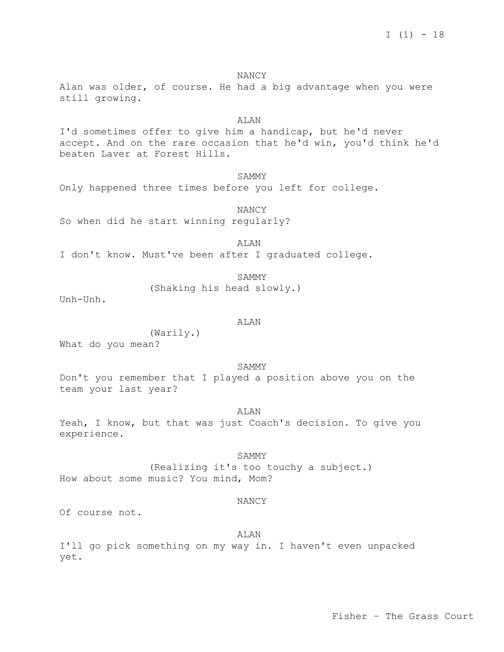NANCY Alan was older, of course. He had a big advantage when you were still growing.

## ALAN

I'd sometimes offer to give him a handicap, but he'd never accept. And on the rare occasion that he'd win, you'd think he'd beaten Laver at Forest Hills.

# SAMMY

Only happened three times before you left for college.

NANCY So when did he start winning regularly?

ALAN I don't know. Must've been after I graduated college.

> SAMMY (Shaking his head slowly.)

Unh-Unh.

### ALAN

(Warily.) What do you mean?

SAMMY

Don't you remember that I played a position above you on the team your last year?

# ALAN

Yeah, I know, but that was just Coach's decision. To give you experience.

#### SAMMY

(Realizing it's too touchy a subject.) How about some music? You mind, Mom?

## NANCY

Of course not.

# ALAN

I'll go pick something on my way in. I haven't even unpacked yet.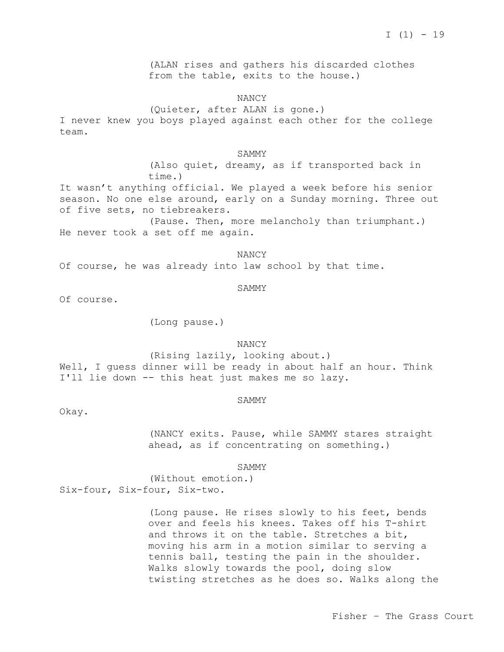(ALAN rises and gathers his discarded clothes from the table, exits to the house.)

NANCY

(Quieter, after ALAN is gone.) I never knew you boys played against each other for the college team.

SAMMY

(Also quiet, dreamy, as if transported back in time.)

It wasn't anything official. We played a week before his senior season. No one else around, early on a Sunday morning. Three out of five sets, no tiebreakers.

(Pause. Then, more melancholy than triumphant.) He never took a set off me again.

NANCY

Of course, he was already into law school by that time.

SAMMY

Of course.

(Long pause.)

NANCY

(Rising lazily, looking about.) Well, I quess dinner will be ready in about half an hour. Think I'll lie down -- this heat just makes me so lazy.

#### SAMMY

Okay.

(NANCY exits. Pause, while SAMMY stares straight ahead, as if concentrating on something.)

SAMMY

(Without emotion.) Six-four, Six-four, Six-two.

> (Long pause. He rises slowly to his feet, bends over and feels his knees. Takes off his T-shirt and throws it on the table. Stretches a bit, moving his arm in a motion similar to serving a tennis ball, testing the pain in the shoulder. Walks slowly towards the pool, doing slow twisting stretches as he does so. Walks along the

> > Fisher – The Grass Court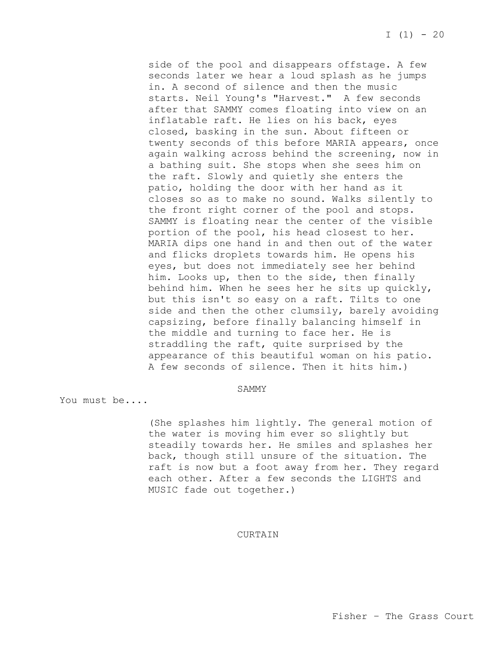side of the pool and disappears offstage. A few seconds later we hear a loud splash as he jumps in. A second of silence and then the music starts. Neil Young's "Harvest." A few seconds after that SAMMY comes floating into view on an inflatable raft. He lies on his back, eyes closed, basking in the sun. About fifteen or twenty seconds of this before MARIA appears, once again walking across behind the screening, now in a bathing suit. She stops when she sees him on the raft. Slowly and quietly she enters the patio, holding the door with her hand as it closes so as to make no sound. Walks silently to the front right corner of the pool and stops. SAMMY is floating near the center of the visible portion of the pool, his head closest to her. MARIA dips one hand in and then out of the water and flicks droplets towards him. He opens his eyes, but does not immediately see her behind him. Looks up, then to the side, then finally behind him. When he sees her he sits up quickly, but this isn't so easy on a raft. Tilts to one side and then the other clumsily, barely avoiding capsizing, before finally balancing himself in the middle and turning to face her. He is straddling the raft, quite surprised by the appearance of this beautiful woman on his patio. A few seconds of silence. Then it hits him.)

### SAMMY

You must be....

(She splashes him lightly. The general motion of the water is moving him ever so slightly but steadily towards her. He smiles and splashes her back, though still unsure of the situation. The raft is now but a foot away from her. They regard each other. After a few seconds the LIGHTS and MUSIC fade out together.)

CURTAIN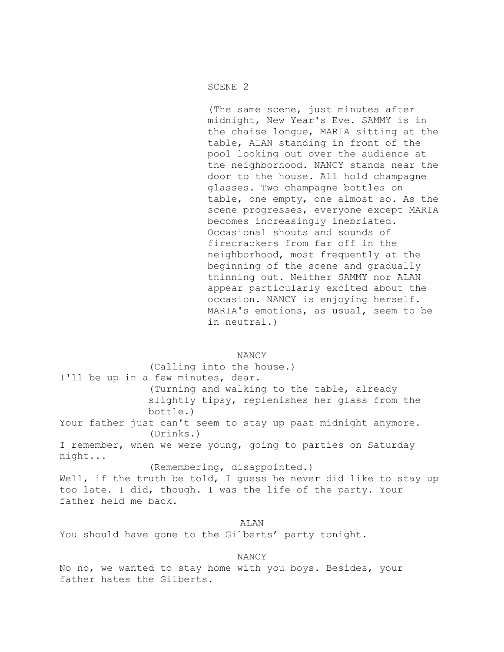SCENE 2

(The same scene, just minutes after midnight, New Year's Eve. SAMMY is in the chaise longue, MARIA sitting at the table, ALAN standing in front of the pool looking out over the audience at the neighborhood. NANCY stands near the door to the house. All hold champagne glasses. Two champagne bottles on table, one empty, one almost so. As the scene progresses, everyone except MARIA becomes increasingly inebriated. Occasional shouts and sounds of firecrackers from far off in the neighborhood, most frequently at the beginning of the scene and gradually thinning out. Neither SAMMY nor ALAN appear particularly excited about the occasion. NANCY is enjoying herself. MARIA's emotions, as usual, seem to be in neutral.)

NANCY

(Calling into the house.) I'll be up in a few minutes, dear. (Turning and walking to the table, already slightly tipsy, replenishes her glass from the bottle.) Your father just can't seem to stay up past midnight anymore. (Drinks.) I remember, when we were young, going to parties on Saturday night... (Remembering, disappointed.) Well, if the truth be told, I guess he never did like to stay up too late. I did, though. I was the life of the party. Your father held me back.

ALAN You should have gone to the Gilberts' party tonight.

NANCY

No no, we wanted to stay home with you boys. Besides, your father hates the Gilberts.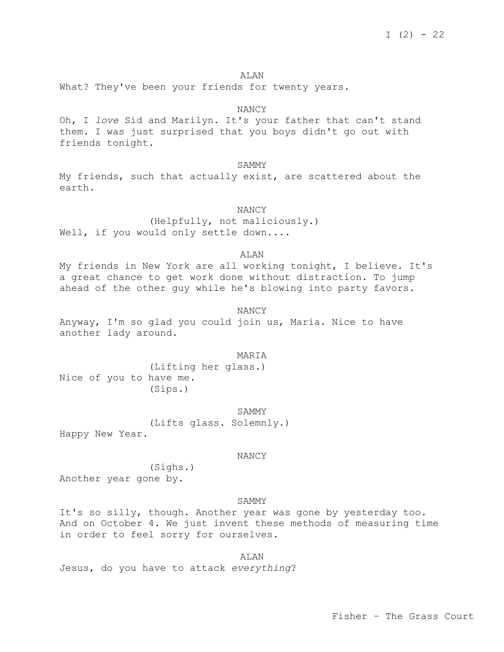### ALAN

What? They've been your friends for twenty years.

# NANCY

Oh, I *love* Sid and Marilyn. It's your father that can't stand them. I was just surprised that you boys didn't go out with friends tonight.

**SAMMY** 

My friends, such that actually exist, are scattered about the earth.

NANCY

(Helpfully, not maliciously.) Well, if you would only settle down....

ALAN

My friends in New York are all working tonight, I believe. It's a great chance to get work done without distraction. To jump ahead of the other guy while he's blowing into party favors.

NANCY

Anyway, I'm so glad you could join us, Maria. Nice to have another lady around.

# MARIA

(Lifting her glass.) Nice of you to have me. (Sips.)

SAMMY (Lifts glass. Solemnly.) Happy New Year.

#### NANCY

(Sighs.) Another year gone by.

SAMMY

It's so silly, though. Another year was gone by yesterday too. And on October 4. We just invent these methods of measuring time in order to feel sorry for ourselves.

ALAN Jesus, do you have to attack *everything*?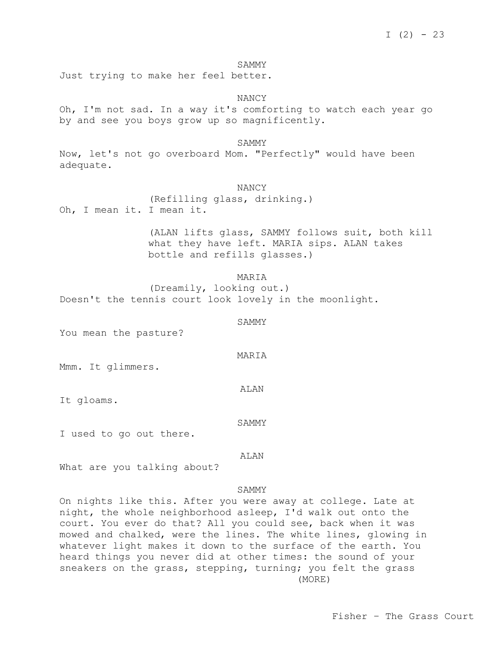#### SAMMY

Just trying to make her feel better.

NANCY

Oh, I'm not sad. In a way it's comforting to watch each year go by and see you boys grow up so magnificently.

SAMMY

Now, let's not go overboard Mom. "Perfectly" would have been adequate.

NANCY

(Refilling glass, drinking.) Oh, I mean it. I mean it.

> (ALAN lifts glass, SAMMY follows suit, both kill what they have left. MARIA sips. ALAN takes bottle and refills glasses.)

```
MARIA
```
(Dreamily, looking out.) Doesn't the tennis court look lovely in the moonlight.

```
SAMMY
```
You mean the pasture?

MARIA

ALAN

SAMMY

Mmm. It glimmers.

It gloams.

I used to go out there.

ALAN

What are you talking about?

# SAMMY

On nights like this. After you were away at college. Late at night, the whole neighborhood asleep, I'd walk out onto the court. You ever do that? All you could see, back when it was mowed and chalked, were the lines. The white lines, glowing in whatever light makes it down to the surface of the earth. You heard things you never did at other times: the sound of your sneakers on the grass, stepping, turning; you felt the grass (MORE)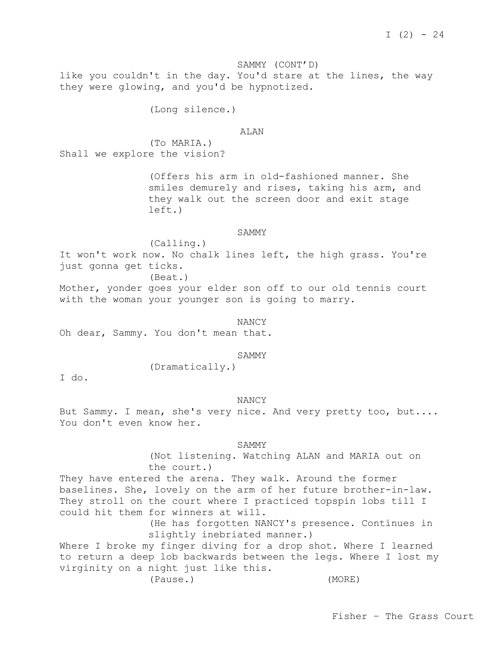SAMMY (CONT'D) like you couldn't in the day. You'd stare at the lines, the way they were glowing, and you'd be hypnotized.

(Long silence.)

# ALAN

(To MARIA.) Shall we explore the vision?

> (Offers his arm in old-fashioned manner. She smiles demurely and rises, taking his arm, and they walk out the screen door and exit stage left.)

#### SAMMY

(Calling.) It won't work now. No chalk lines left, the high grass. You're just gonna get ticks. (Beat.)

Mother, yonder goes your elder son off to our old tennis court with the woman your younger son is going to marry.

#### NANCY

Oh dear, Sammy. You don't mean that.

SAMMY

(Dramatically.)

I do.

#### NANCY

But Sammy. I mean, she's very nice. And very pretty too, but.... You don't even know her.

SAMMY

(Not listening. Watching ALAN and MARIA out on the court.)

They have entered the arena. They walk. Around the former baselines. She, lovely on the arm of her future brother-in-law. They stroll on the court where I practiced topspin lobs till I could hit them for winners at will.

> (He has forgotten NANCY's presence. Continues in slightly inebriated manner.)

Where I broke my finger diving for a drop shot. Where I learned to return a deep lob backwards between the legs. Where I lost my virginity on a night just like this.

(Pause.) (MORE)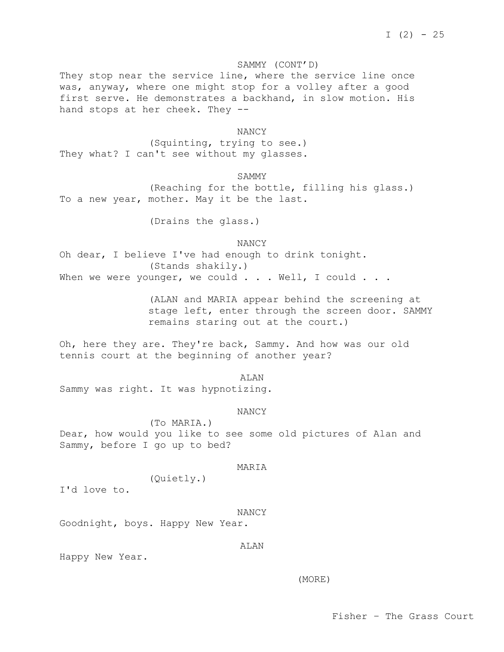# SAMMY (CONT'D)

They stop near the service line, where the service line once was, anyway, where one might stop for a volley after a good first serve. He demonstrates a backhand, in slow motion. His hand stops at her cheek. They --

#### NANCY

(Squinting, trying to see.) They what? I can't see without my glasses.

SAMMY

(Reaching for the bottle, filling his glass.) To a new year, mother. May it be the last.

(Drains the glass.)

NANCY

Oh dear, I believe I've had enough to drink tonight. (Stands shakily.) When we were younger, we could  $\ldots$  . Well, I could  $\ldots$ .

> (ALAN and MARIA appear behind the screening at stage left, enter through the screen door. SAMMY remains staring out at the court.)

Oh, here they are. They're back, Sammy. And how was our old tennis court at the beginning of another year?

ALAN

Sammy was right. It was hypnotizing.

NANCY

(To MARIA.) Dear, how would you like to see some old pictures of Alan and Sammy, before I go up to bed?

MARIA

(Quietly.)

I'd love to.

NANCY

Goodnight, boys. Happy New Year.

ALAN

Happy New Year.

(MORE)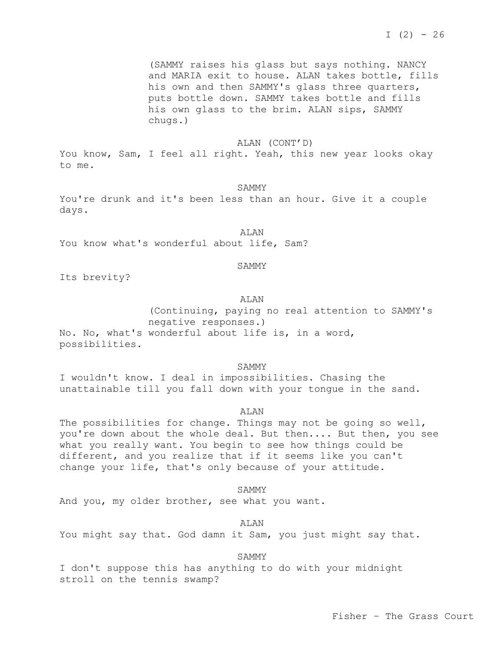(SAMMY raises his glass but says nothing. NANCY and MARIA exit to house. ALAN takes bottle, fills his own and then SAMMY's glass three quarters, puts bottle down. SAMMY takes bottle and fills his own glass to the brim. ALAN sips, SAMMY chugs.)

# ALAN (CONT'D)

You know, Sam, I feel all right. Yeah, this new year looks okay to me.

### SAMMY

You're drunk and it's been less than an hour. Give it a couple days.

ALAN You know what's wonderful about life, Sam?

## SAMMY

Its brevity?

# ALAN

(Continuing, paying no real attention to SAMMY's negative responses.) No. No, what's wonderful about life is, in a word, possibilities.

SAMMY

I wouldn't know. I deal in impossibilities. Chasing the unattainable till you fall down with your tongue in the sand.

ALAN

The possibilities for change. Things may not be going so well, you're down about the whole deal. But then.... But then, you see what you really want. You begin to see how things could be different, and you realize that if it seems like you can't change your life, that's only because of your attitude.

# SAMMY

And you, my older brother, see what you want.

### ALAN

You might say that. God damn it Sam, you just might say that.

# SAMMY

I don't suppose this has anything to do with your midnight stroll on the tennis swamp?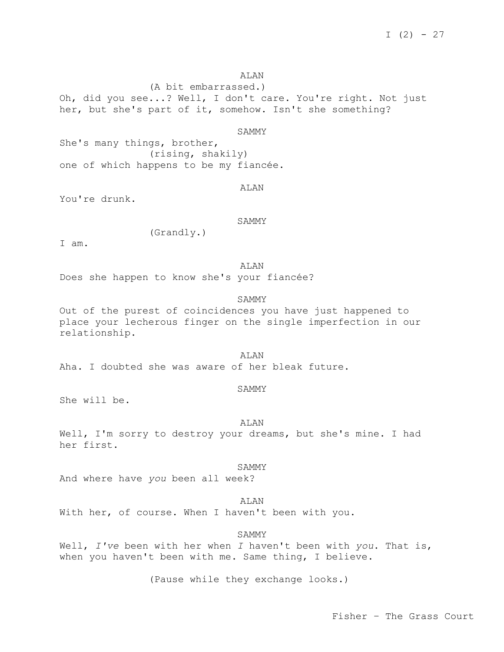# ALAN

(A bit embarrassed.) Oh, did you see...? Well, I don't care. You're right. Not just her, but she's part of it, somehow. Isn't she something?

# SAMMY

She's many things, brother, (rising, shakily) one of which happens to be my fiancée.

#### ALAN

You're drunk.

#### SAMMY

(Grandly.)

I am.

ALAN

Does she happen to know she's your fiancée?

SAMMY

Out of the purest of coincidences you have just happened to place your lecherous finger on the single imperfection in our relationship.

ALAN Aha. I doubted she was aware of her bleak future.

## SAMMY

She will be.

# ALAN

Well, I'm sorry to destroy your dreams, but she's mine. I had her first.

#### SAMMY

And where have *you* been all week?

#### ALAN

With her, of course. When I haven't been with you.

#### SAMMY

Well, *I've* been with her when *I* haven't been with *you*. That is, when you haven't been with me. Same thing, I believe.

(Pause while they exchange looks.)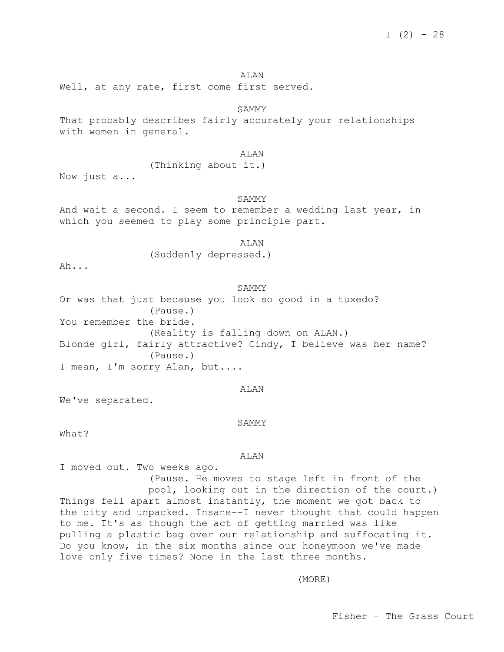ALAN Well, at any rate, first come first served.

# SAMMY

That probably describes fairly accurately your relationships with women in general.

## ALAN

(Thinking about it.)

Now just a...

# SAMMY

And wait a second. I seem to remember a wedding last year, in which you seemed to play some principle part.

### ALAN

(Suddenly depressed.)

Ah...

# SAMMY

Or was that just because you look so good in a tuxedo? (Pause.) You remember the bride. (Reality is falling down on ALAN.) Blonde girl, fairly attractive? Cindy, I believe was her name? (Pause.) I mean, I'm sorry Alan, but....

# ALAN

We've separated.

SAMMY

What?

#### ALAN

I moved out. Two weeks ago. (Pause. He moves to stage left in front of the pool, looking out in the direction of the court.) Things fell apart almost instantly, the moment we got back to the city and unpacked. Insane--I never thought that could happen to me. It's as though the act of getting married was like pulling a plastic bag over our relationship and suffocating it. Do you know, in the six months since our honeymoon we've made love only five times? None in the last three months.

(MORE)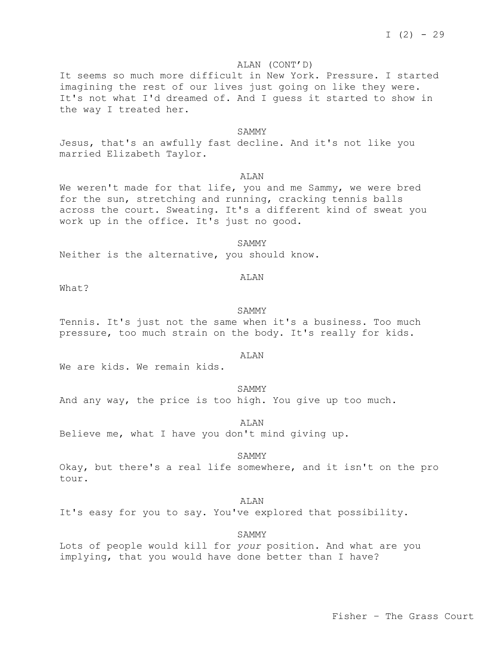# ALAN (CONT'D)

It seems so much more difficult in New York. Pressure. I started imagining the rest of our lives just going on like they were. It's not what I'd dreamed of. And I guess it started to show in the way I treated her.

## SAMMY

Jesus, that's an awfully fast decline. And it's not like you married Elizabeth Taylor.

# **ALAN**

We weren't made for that life, you and me Sammy, we were bred for the sun, stretching and running, cracking tennis balls across the court. Sweating. It's a different kind of sweat you work up in the office. It's just no good.

SAMMY Neither is the alternative, you should know.

# ALAN

What?

#### SAMMY

Tennis. It's just not the same when it's a business. Too much pressure, too much strain on the body. It's really for kids.

# ALAN

We are kids. We remain kids.

### SAMMY

And any way, the price is too high. You give up too much.

ALAN

Believe me, what I have you don't mind giving up.

#### SAMMY

Okay, but there's a real life somewhere, and it isn't on the pro tour.

#### ALAN

It's easy for you to say. You've explored that possibility.

#### SAMMY

Lots of people would kill for *your* position. And what are you implying, that you would have done better than I have?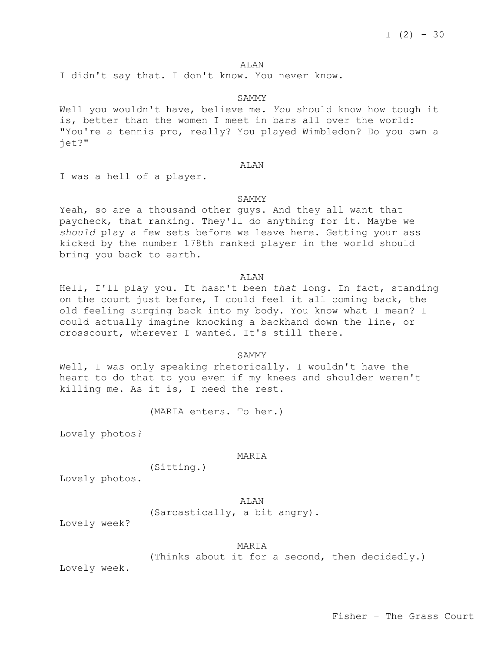## ALAN

I didn't say that. I don't know. You never know.

### SAMMY

Well you wouldn't have, believe me. *You* should know how tough it is, better than the women I meet in bars all over the world: "You're a tennis pro, really? You played Wimbledon? Do you own a jet?"

#### ALAN

I was a hell of a player.

# SAMMY

Yeah, so are a thousand other guys. And they all want that paycheck, that ranking. They'll do anything for it. Maybe we *should* play a few sets before we leave here. Getting your ass kicked by the number 178th ranked player in the world should bring you back to earth.

# ALAN

Hell, I'll play you. It hasn't been *that* long. In fact, standing on the court just before, I could feel it all coming back, the old feeling surging back into my body. You know what I mean? I could actually imagine knocking a backhand down the line, or crosscourt, wherever I wanted. It's still there.

# SAMMY

Well, I was only speaking rhetorically. I wouldn't have the heart to do that to you even if my knees and shoulder weren't killing me. As it is, I need the rest.

(MARIA enters. To her.)

Lovely photos?

#### MARIA

(Sitting.)

Lovely photos.

ALAN

(Sarcastically, a bit angry).

Lovely week?

# MARIA

(Thinks about it for a second, then decidedly.)

Lovely week.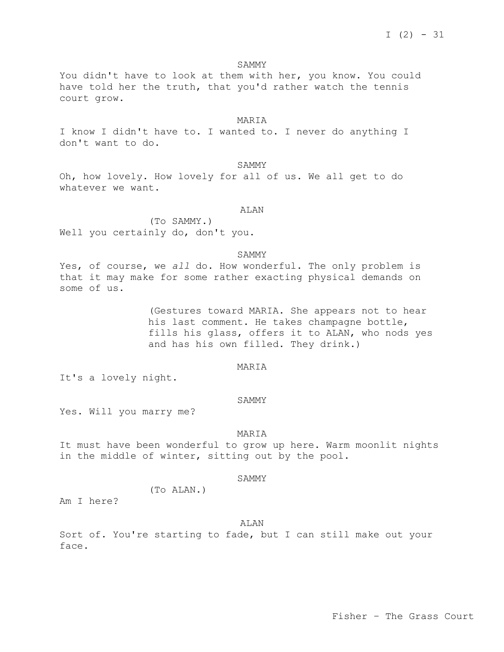### SAMMY

You didn't have to look at them with her, you know. You could have told her the truth, that you'd rather watch the tennis court grow.

### MARIA

I know I didn't have to. I wanted to. I never do anything I don't want to do.

SAMMY

Oh, how lovely. How lovely for all of us. We all get to do whatever we want.

ALAN

(To SAMMY.) Well you certainly do, don't you.

SAMMY

Yes, of course, we *all* do. How wonderful. The only problem is that it may make for some rather exacting physical demands on some of us.

> (Gestures toward MARIA. She appears not to hear his last comment. He takes champagne bottle, fills his glass, offers it to ALAN, who nods yes and has his own filled. They drink.)

# MARIA

It's a lovely night.

#### SAMMY

Yes. Will you marry me?

#### MARIA

It must have been wonderful to grow up here. Warm moonlit nights in the middle of winter, sitting out by the pool.

#### SAMMY

(To ALAN.)

Am I here?

#### ALAN

Sort of. You're starting to fade, but I can still make out your face.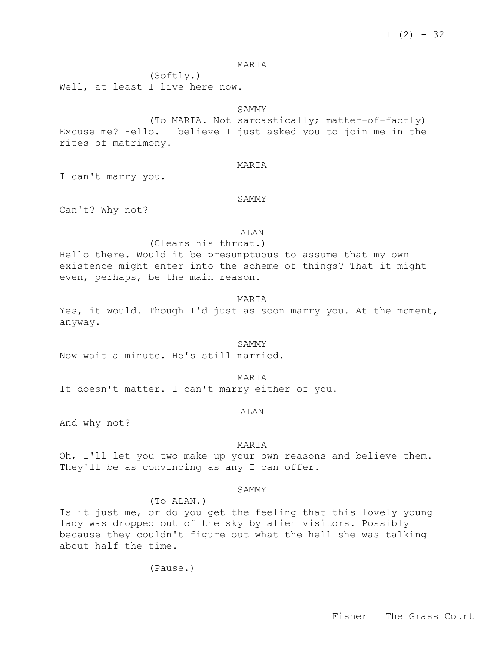$I (2) - 32$ 

# MARIA

(Softly.) Well, at least I live here now.

# SAMMY

(To MARIA. Not sarcastically; matter-of-factly) Excuse me? Hello. I believe I just asked you to join me in the rites of matrimony.

### MARIA

I can't marry you.

### SAMMY

Can't? Why not?

### ALAN

(Clears his throat.) Hello there. Would it be presumptuous to assume that my own existence might enter into the scheme of things? That it might even, perhaps, be the main reason.

# MARIA

Yes, it would. Though I'd just as soon marry you. At the moment, anyway.

SAMMY Now wait a minute. He's still married.

MARIA It doesn't matter. I can't marry either of you.

### ALAN

And why not?

#### MARIA

Oh, I'll let you two make up your own reasons and believe them. They'll be as convincing as any I can offer.

## SAMMY

(To ALAN.)

Is it just me, or do you get the feeling that this lovely young lady was dropped out of the sky by alien visitors. Possibly because they couldn't figure out what the hell she was talking about half the time.

(Pause.)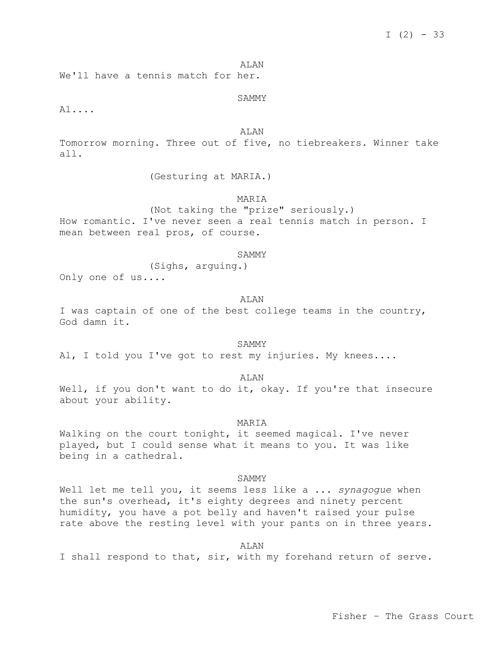ALAN

We'll have a tennis match for her.

SAMMY

Al....

ALAN

Tomorrow morning. Three out of five, no tiebreakers. Winner take all.

(Gesturing at MARIA.)

MARIA

(Not taking the "prize" seriously.) How romantic. I've never seen a real tennis match in person. I mean between real pros, of course.

SAMMY

(Sighs, arguing.)

Only one of us....

ALAN

I was captain of one of the best college teams in the country, God damn it.

SAMMY

Al, I told you I've got to rest my injuries. My knees....

ALAN

Well, if you don't want to do it, okay. If you're that insecure about your ability.

MARIA

Walking on the court tonight, it seemed magical. I've never played, but I could sense what it means to you. It was like being in a cathedral.

SAMMY

Well let me tell you, it seems less like a ... *synagogue* when the sun's overhead, it's eighty degrees and ninety percent humidity, you have a pot belly and haven't raised your pulse rate above the resting level with your pants on in three years.

ALAN

I shall respond to that, sir, with my forehand return of serve.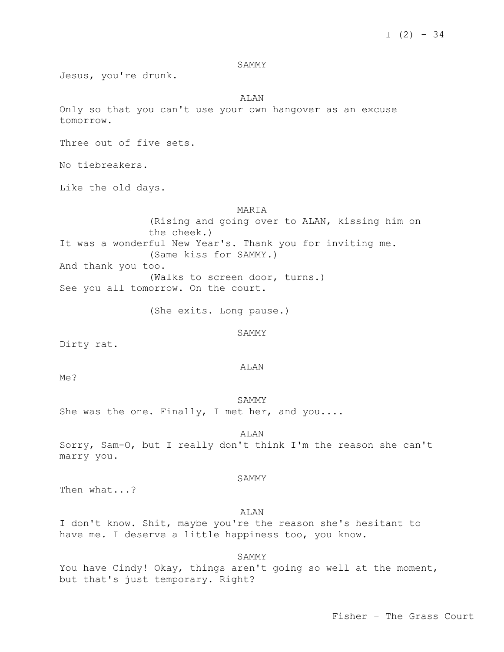SAMMY

Jesus, you're drunk.

ALAN

Only so that you can't use your own hangover as an excuse tomorrow.

Three out of five sets.

No tiebreakers.

Like the old days.

MARIA

(Rising and going over to ALAN, kissing him on the cheek.) It was a wonderful New Year's. Thank you for inviting me. (Same kiss for SAMMY.) And thank you too. (Walks to screen door, turns.) See you all tomorrow. On the court.

(She exits. Long pause.)

SAMMY

Dirty rat.

ALAN

Me?

#### SAMMY

She was the one. Finally, I met her, and you....

ALAN

Sorry, Sam-O, but I really don't think I'm the reason she can't marry you.

### SAMMY

Then what...?

# ALAN

I don't know. Shit, maybe you're the reason she's hesitant to have me. I deserve a little happiness too, you know.

SAMMY

You have Cindy! Okay, things aren't going so well at the moment, but that's just temporary. Right?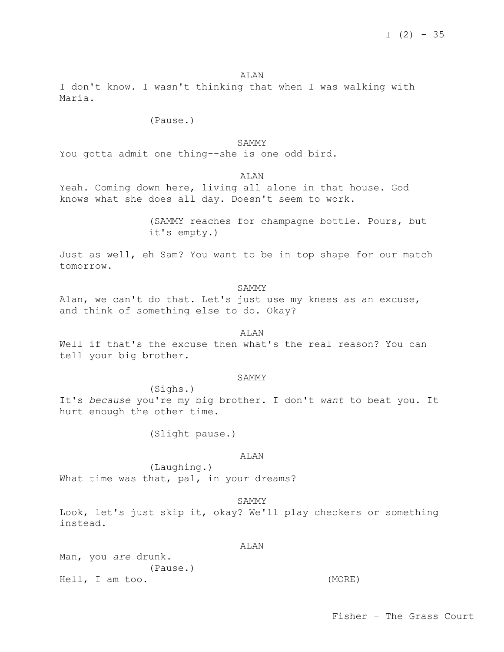#### ALAN

I don't know. I wasn't thinking that when I was walking with Maria.

(Pause.)

### SAMMY

You gotta admit one thing--she is one odd bird.

# ALAN

Yeah. Coming down here, living all alone in that house. God knows what she does all day. Doesn't seem to work.

> (SAMMY reaches for champagne bottle. Pours, but it's empty.)

Just as well, eh Sam? You want to be in top shape for our match tomorrow.

SAMMY Alan, we can't do that. Let's just use my knees as an excuse, and think of something else to do. Okay?

**ALAN** Well if that's the excuse then what's the real reason? You can tell your big brother.

### SAMMY

(Sighs.) It's *because* you're my big brother. I don't *want* to beat you. It hurt enough the other time.

(Slight pause.)

#### ALAN

(Laughing.) What time was that, pal, in your dreams?

### SAMMY

Look, let's just skip it, okay? We'll play checkers or something instead.

### ALAN

Man, you *are* drunk. (Pause.) Hell, I am too. (MORE)

Fisher – The Grass Court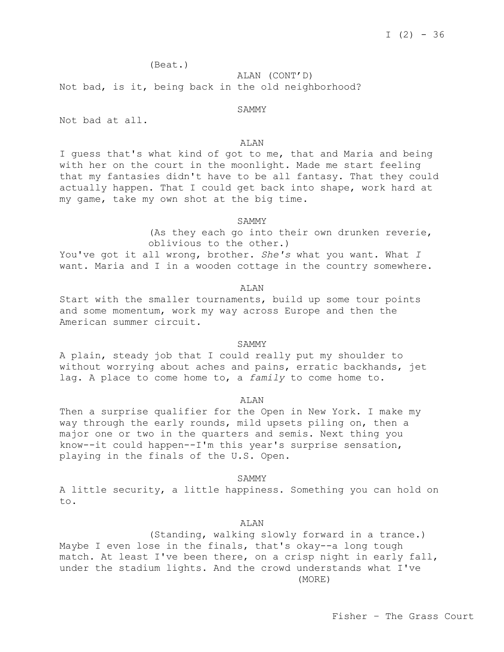(Beat.)

ALAN (CONT'D) Not bad, is it, being back in the old neighborhood?

SAMMY

Not bad at all.

## ALAN

I guess that's what kind of got to me, that and Maria and being with her on the court in the moonlight. Made me start feeling that my fantasies didn't have to be all fantasy. That they could actually happen. That I could get back into shape, work hard at my game, take my own shot at the big time.

SAMMY

(As they each go into their own drunken reverie, oblivious to the other.)

You've got it all wrong, brother. *She's* what you want. What *I* want. Maria and I in a wooden cottage in the country somewhere.

ALAN

Start with the smaller tournaments, build up some tour points and some momentum, work my way across Europe and then the American summer circuit.

### SAMMY

A plain, steady job that I could really put my shoulder to without worrying about aches and pains, erratic backhands, jet lag. A place to come home to, a *family* to come home to.

## **ALAN**

Then a surprise qualifier for the Open in New York. I make my way through the early rounds, mild upsets piling on, then a major one or two in the quarters and semis. Next thing you know--it could happen--I'm this year's surprise sensation, playing in the finals of the U.S. Open.

#### SAMMY

A little security, a little happiness. Something you can hold on to.

### ALAN

(Standing, walking slowly forward in a trance.) Maybe I even lose in the finals, that's okay--a long tough match. At least I've been there, on a crisp night in early fall, under the stadium lights. And the crowd understands what I've (MORE)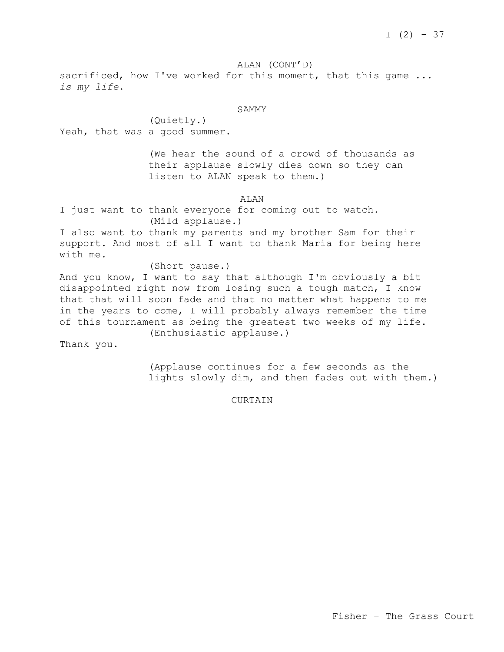## ALAN (CONT'D)

sacrificed, how I've worked for this moment, that this game ... *is my life*.

# SAMMY

(Quietly.) Yeah, that was a good summer.

> (We hear the sound of a crowd of thousands as their applause slowly dies down so they can listen to ALAN speak to them.)

> > ALAN

I just want to thank everyone for coming out to watch. (Mild applause.)

I also want to thank my parents and my brother Sam for their support. And most of all I want to thank Maria for being here with me.

(Short pause.)

And you know, I want to say that although I'm obviously a bit disappointed right now from losing such a tough match, I know that that will soon fade and that no matter what happens to me in the years to come, I will probably always remember the time of this tournament as being the greatest two weeks of my life. (Enthusiastic applause.)

Thank you.

(Applause continues for a few seconds as the lights slowly dim, and then fades out with them.)

**CURTAIN**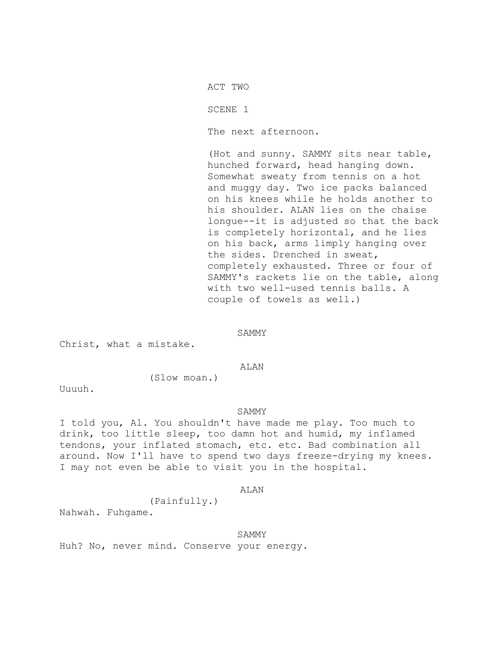ACT TWO

SCENE 1

The next afternoon.

(Hot and sunny. SAMMY sits near table, hunched forward, head hanging down. Somewhat sweaty from tennis on a hot and muggy day. Two ice packs balanced on his knees while he holds another to his shoulder. ALAN lies on the chaise longue--it is adjusted so that the back is completely horizontal, and he lies on his back, arms limply hanging over the sides. Drenched in sweat, completely exhausted. Three or four of SAMMY's rackets lie on the table, along with two well-used tennis balls. A couple of towels as well.)

SAMMY

Christ, what a mistake.

## ALAN

(Slow moan.)

Uuuuh.

## SAMMY

I told you, Al. You shouldn't have made me play. Too much to drink, too little sleep, too damn hot and humid, my inflamed tendons, your inflated stomach, etc. etc. Bad combination all around. Now I'll have to spend two days freeze-drying my knees. I may not even be able to visit you in the hospital.

### ALAN

(Painfully.)

Nahwah. Fuhgame.

### SAMMY

Huh? No, never mind. Conserve your energy.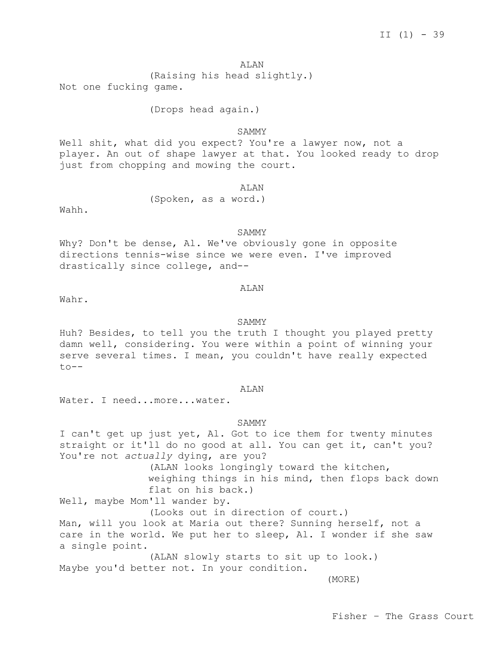## ALAN

(Raising his head slightly.) Not one fucking game.

(Drops head again.)

SAMMY

Well shit, what did you expect? You're a lawyer now, not a player. An out of shape lawyer at that. You looked ready to drop just from chopping and mowing the court.

ALAN

(Spoken, as a word.)

Wahh.

#### SAMMY

Why? Don't be dense, Al. We've obviously gone in opposite directions tennis-wise since we were even. I've improved drastically since college, and--

#### ALAN

Wahr.

### SAMMY

Huh? Besides, to tell you the truth I thought you played pretty damn well, considering. You were within a point of winning your serve several times. I mean, you couldn't have really expected  $to --$ 

# ALAN

Water. I need...more...water.

### SAMMY

I can't get up just yet, Al. Got to ice them for twenty minutes straight or it'll do no good at all. You can get it, can't you? You're not *actually* dying, are you? (ALAN looks longingly toward the kitchen, weighing things in his mind, then flops back down flat on his back.) Well, maybe Mom'll wander by. (Looks out in direction of court.) Man, will you look at Maria out there? Sunning herself, not a care in the world. We put her to sleep, Al. I wonder if she saw a single point. (ALAN slowly starts to sit up to look.) Maybe you'd better not. In your condition. (MORE)

Fisher – The Grass Court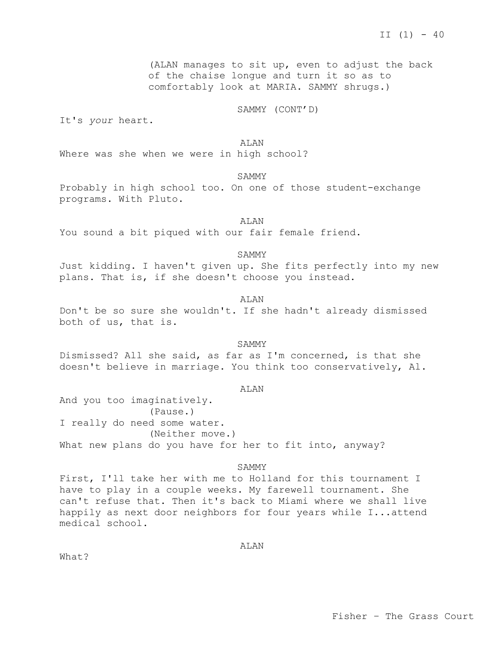(ALAN manages to sit up, even to adjust the back of the chaise longue and turn it so as to comfortably look at MARIA. SAMMY shrugs.)

SAMMY (CONT'D)

It's *your* heart.

#### ALAN

Where was she when we were in high school?

# SAMMY

Probably in high school too. On one of those student-exchange programs. With Pluto.

ALAN

You sound a bit piqued with our fair female friend.

### SAMMY

Just kidding. I haven't given up. She fits perfectly into my new plans. That is, if she doesn't choose you instead.

ALAN

Don't be so sure she wouldn't. If she hadn't already dismissed both of us, that is.

SAMMY

Dismissed? All she said, as far as I'm concerned, is that she doesn't believe in marriage. You think too conservatively, Al.

### **ALAN**

And you too imaginatively. (Pause.) I really do need some water. (Neither move.) What new plans do you have for her to fit into, anyway?

## SAMMY

First, I'll take her with me to Holland for this tournament I have to play in a couple weeks. My farewell tournament. She can't refuse that. Then it's back to Miami where we shall live happily as next door neighbors for four years while I...attend medical school.

ALAN

What?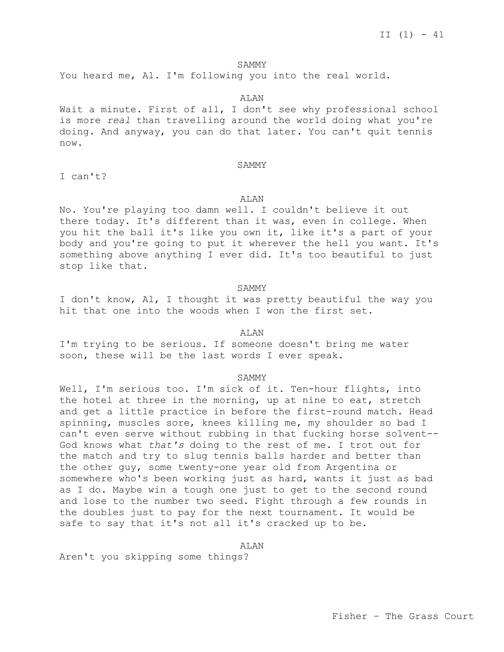You heard me, Al. I'm following you into the real world.

ALAN

Wait a minute. First of all, I don't see why professional school is more *real* than travelling around the world doing what you're doing. And anyway, you can do that later. You can't quit tennis now.

#### SAMMY

I can't?

# ALAN

No. You're playing too damn well. I couldn't believe it out there today. It's different than it was, even in college. When you hit the ball it's like you own it, like it's a part of your body and you're going to put it wherever the hell you want. It's something above anything I ever did. It's too beautiful to just stop like that.

### SAMMY

I don't know, Al, I thought it was pretty beautiful the way you hit that one into the woods when I won the first set.

#### ALAN

I'm trying to be serious. If someone doesn't bring me water soon, these will be the last words I ever speak.

#### SAMMY

Well, I'm serious too. I'm sick of it. Ten-hour flights, into the hotel at three in the morning, up at nine to eat, stretch and get a little practice in before the first-round match. Head spinning, muscles sore, knees killing me, my shoulder so bad I can't even serve without rubbing in that fucking horse solvent-- God knows what *that's* doing to the rest of me. I trot out for the match and try to slug tennis balls harder and better than the other guy, some twenty-one year old from Argentina or somewhere who's been working just as hard, wants it just as bad as I do. Maybe win a tough one just to get to the second round and lose to the number two seed. Fight through a few rounds in the doubles just to pay for the next tournament. It would be safe to say that it's not all it's cracked up to be.

### ALAN

Aren't you skipping some things?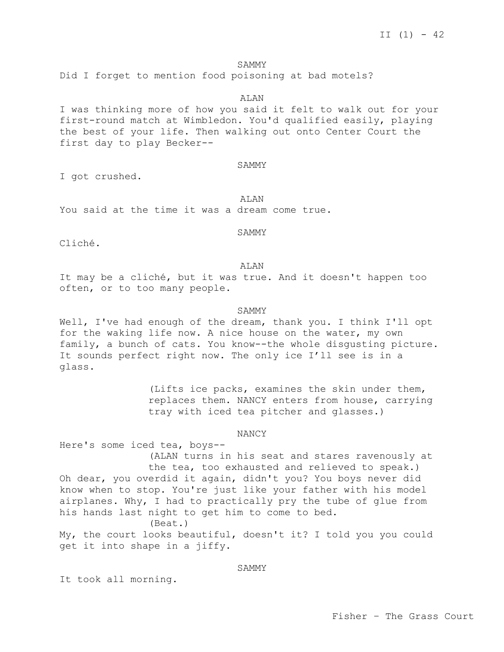Did I forget to mention food poisoning at bad motels?

### ALAN

I was thinking more of how you said it felt to walk out for your first-round match at Wimbledon. You'd qualified easily, playing the best of your life. Then walking out onto Center Court the first day to play Becker--

### SAMMY

I got crushed.

ALAN You said at the time it was a dream come true.

SAMMY

Cliché.

### ALAN

It may be a cliché, but it was true. And it doesn't happen too often, or to too many people.

#### SAMMY

Well, I've had enough of the dream, thank you. I think I'll opt for the waking life now. A nice house on the water, my own family, a bunch of cats. You know--the whole disgusting picture. It sounds perfect right now. The only ice I'll see is in a glass.

> (Lifts ice packs, examines the skin under them, replaces them. NANCY enters from house, carrying tray with iced tea pitcher and glasses.)

> > NANCY

Here's some iced tea, boys--

(ALAN turns in his seat and stares ravenously at the tea, too exhausted and relieved to speak.) Oh dear, you overdid it again, didn't you? You boys never did know when to stop. You're just like your father with his model airplanes. Why, I had to practically pry the tube of glue from his hands last night to get him to come to bed.

(Beat.)

My, the court looks beautiful, doesn't it? I told you you could get it into shape in a jiffy.

# SAMMY

It took all morning.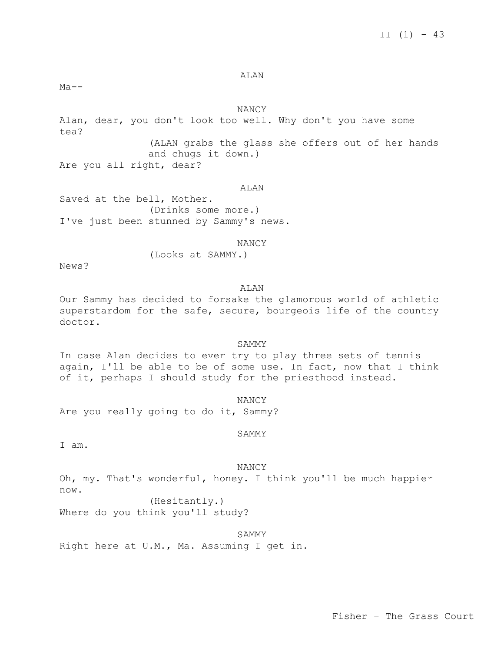ALAN

 $Ma - -$ 

# NANCY

Alan, dear, you don't look too well. Why don't you have some tea? (ALAN grabs the glass she offers out of her hands and chugs it down.) Are you all right, dear?

#### ALAN

Saved at the bell, Mother. (Drinks some more.) I've just been stunned by Sammy's news.

(Looks at SAMMY.)

NANCY

News?

### ALAN

Our Sammy has decided to forsake the glamorous world of athletic superstardom for the safe, secure, bourgeois life of the country doctor.

SAMMY In case Alan decides to ever try to play three sets of tennis again, I'll be able to be of some use. In fact, now that I think of it, perhaps I should study for the priesthood instead.

NANCY

Are you really going to do it, Sammy?

SAMMY

I am.

NANCY

Oh, my. That's wonderful, honey. I think you'll be much happier now.

(Hesitantly.) Where do you think you'll study?

### SAMMY

Right here at U.M., Ma. Assuming I get in.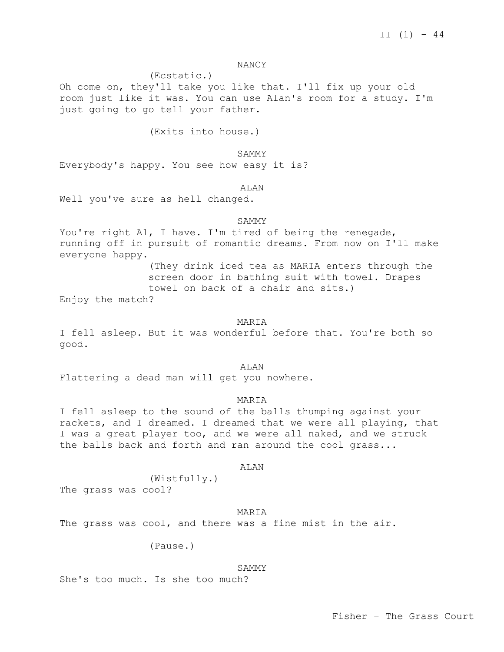# NANCY

(Ecstatic.)

Oh come on, they'll take you like that. I'll fix up your old room just like it was. You can use Alan's room for a study. I'm just going to go tell your father.

(Exits into house.)

SAMMY

Everybody's happy. You see how easy it is?

#### ALAN

Well you've sure as hell changed.

#### SAMMY

You're right Al, I have. I'm tired of being the renegade, running off in pursuit of romantic dreams. From now on I'll make everyone happy.

(They drink iced tea as MARIA enters through the screen door in bathing suit with towel. Drapes towel on back of a chair and sits.)

Enjoy the match?

### MARIA

I fell asleep. But it was wonderful before that. You're both so good.

ALAN

Flattering a dead man will get you nowhere.

### MARIA

I fell asleep to the sound of the balls thumping against your rackets, and I dreamed. I dreamed that we were all playing, that I was a great player too, and we were all naked, and we struck the balls back and forth and ran around the cool grass...

ALAN

(Wistfully.) The grass was cool?

### MARIA

The grass was cool, and there was a fine mist in the air.

(Pause.)

#### SAMMY

She's too much. Is she too much?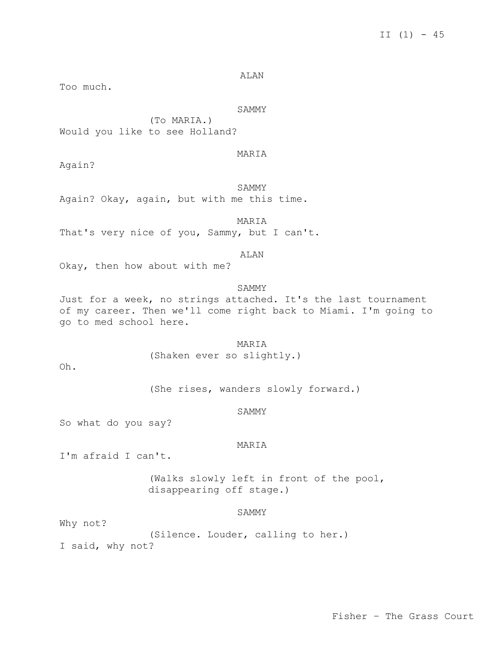ALAN

Too much.

SAMMY

(To MARIA.) Would you like to see Holland?

MARIA

Again?

SAMMY

Again? Okay, again, but with me this time.

MARIA That's very nice of you, Sammy, but I can't.

#### ALAN

Okay, then how about with me?

## SAMMY

Just for a week, no strings attached. It's the last tournament of my career. Then we'll come right back to Miami. I'm going to go to med school here.

> MARIA (Shaken ever so slightly.)

Oh.

(She rises, wanders slowly forward.)

### SAMMY

So what do you say?

MARIA

I'm afraid I can't.

(Walks slowly left in front of the pool, disappearing off stage.)

### SAMMY

Why not?

(Silence. Louder, calling to her.) I said, why not?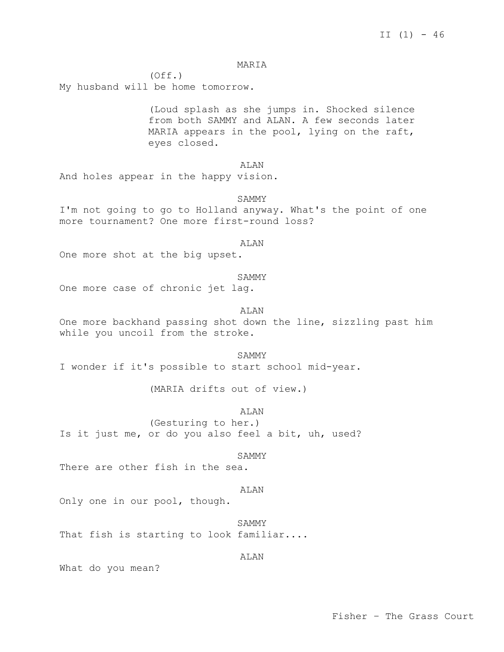## MARIA

 $(Off.)$ My husband will be home tomorrow.

> (Loud splash as she jumps in. Shocked silence from both SAMMY and ALAN. A few seconds later MARIA appears in the pool, lying on the raft, eyes closed.

> > ALAN

And holes appear in the happy vision.

SAMMY

I'm not going to go to Holland anyway. What's the point of one more tournament? One more first-round loss?

ALAN

One more shot at the big upset.

# SAMMY

One more case of chronic jet lag.

ALAN

One more backhand passing shot down the line, sizzling past him while you uncoil from the stroke.

**SAMMY** I wonder if it's possible to start school mid-year.

(MARIA drifts out of view.)

**ALAN** 

(Gesturing to her.) Is it just me, or do you also feel a bit, uh, used?

#### SAMMY

There are other fish in the sea.

# ALAN

Only one in our pool, though.

SAMMY That fish is starting to look familiar....

# ALAN

What do you mean?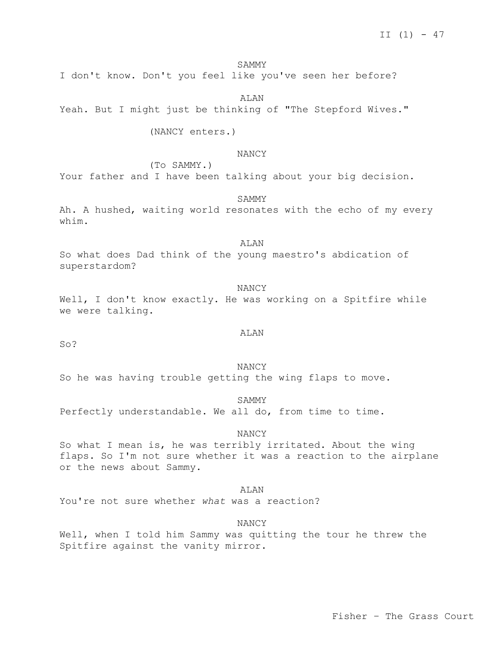I don't know. Don't you feel like you've seen her before?

ALAN

Yeah. But I might just be thinking of "The Stepford Wives."

(NANCY enters.)

# NANCY

(To SAMMY.)

Your father and I have been talking about your big decision.

SAMMY

Ah. A hushed, waiting world resonates with the echo of my every whim.

ALAN So what does Dad think of the young maestro's abdication of superstardom?

NANCY Well, I don't know exactly. He was working on a Spitfire while we were talking.

So?

## **ALAN**

NANCY So he was having trouble getting the wing flaps to move.

SAMMY Perfectly understandable. We all do, from time to time.

NANCY

So what I mean is, he was terribly irritated. About the wing flaps. So I'm not sure whether it was a reaction to the airplane or the news about Sammy.

**ALAN** 

You're not sure whether *what* was a reaction?

#### NANCY

Well, when I told him Sammy was quitting the tour he threw the Spitfire against the vanity mirror.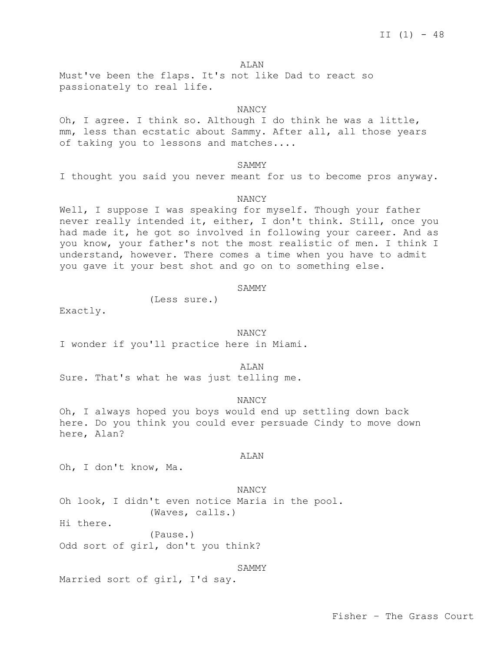#### ALAN

Must've been the flaps. It's not like Dad to react so passionately to real life.

## NANCY

Oh, I agree. I think so. Although I do think he was a little, mm, less than ecstatic about Sammy. After all, all those years of taking you to lessons and matches....

## **SAMMY**

I thought you said you never meant for us to become pros anyway.

# NANCY

Well, I suppose I was speaking for myself. Though your father never really intended it, either, I don't think. Still, once you had made it, he got so involved in following your career. And as you know, your father's not the most realistic of men. I think I understand, however. There comes a time when you have to admit you gave it your best shot and go on to something else.

### SAMMY

(Less sure.)

Exactly.

#### NANCY

I wonder if you'll practice here in Miami.

ALAN

Sure. That's what he was just telling me.

## NANCY

Oh, I always hoped you boys would end up settling down back here. Do you think you could ever persuade Cindy to move down here, Alan?

#### ALAN

Oh, I don't know, Ma.

# NANCY

Oh look, I didn't even notice Maria in the pool. (Waves, calls.)

Hi there.

(Pause.) Odd sort of girl, don't you think?

#### SAMMY

Married sort of girl, I'd say.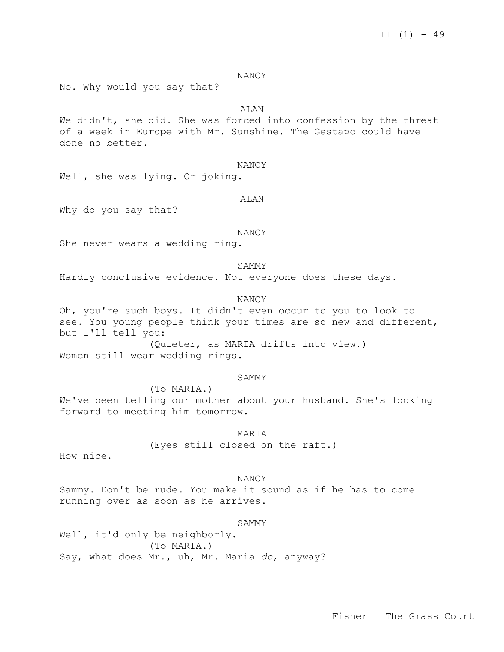#### NANCY

No. Why would you say that?

# **ALAN**

We didn't, she did. She was forced into confession by the threat of a week in Europe with Mr. Sunshine. The Gestapo could have done no better.

#### NANCY

Well, she was lying. Or joking.

## ALAN

Why do you say that?

#### NANCY

She never wears a wedding ring.

#### SAMMY

Hardly conclusive evidence. Not everyone does these days.

## NANCY

Oh, you're such boys. It didn't even occur to you to look to see. You young people think your times are so new and different, but I'll tell you: (Quieter, as MARIA drifts into view.)

Women still wear wedding rings.

#### SAMMY

(To MARIA.) We've been telling our mother about your husband. She's looking forward to meeting him tomorrow.

#### MARIA

(Eyes still closed on the raft.)

How nice.

NANCY Sammy. Don't be rude. You make it sound as if he has to come running over as soon as he arrives.

#### SAMMY

Well, it'd only be neighborly. (To MARIA.) Say, what does Mr., uh, Mr. Maria *do*, anyway?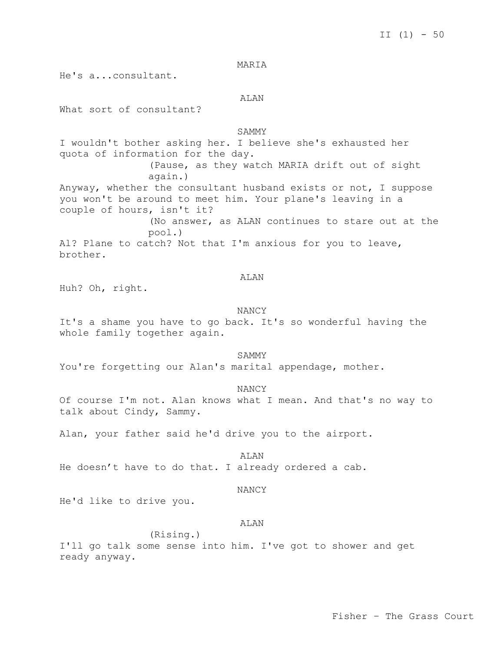MARIA

He's a...consultant.

ALAN

What sort of consultant?

SAMMY I wouldn't bother asking her. I believe she's exhausted her quota of information for the day. (Pause, as they watch MARIA drift out of sight again.) Anyway, whether the consultant husband exists or not, I suppose you won't be around to meet him. Your plane's leaving in a couple of hours, isn't it? (No answer, as ALAN continues to stare out at the pool.) Al? Plane to catch? Not that I'm anxious for you to leave, brother.

```
ALAN
```
Huh? Oh, right.

#### NANCY

It's a shame you have to go back. It's so wonderful having the whole family together again.

SAMMY

You're forgetting our Alan's marital appendage, mother.

NANCY

Of course I'm not. Alan knows what I mean. And that's no way to talk about Cindy, Sammy.

Alan, your father said he'd drive you to the airport.

ALAN

He doesn't have to do that. I already ordered a cab.

### NANCY

He'd like to drive you.

#### ALAN

(Rising.)

I'll go talk some sense into him. I've got to shower and get ready anyway.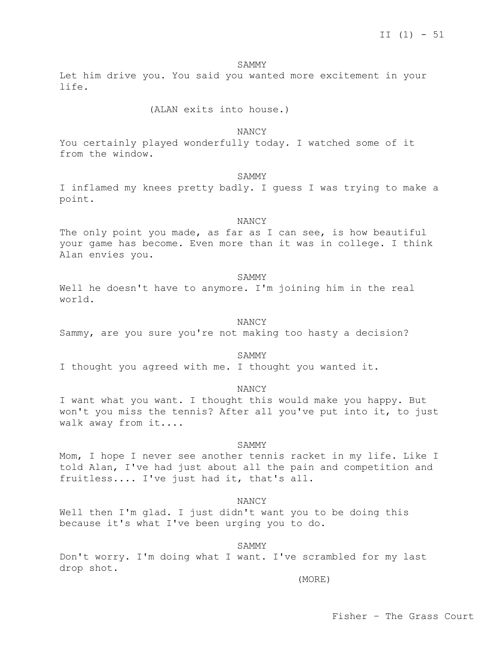Let him drive you. You said you wanted more excitement in your life.

(ALAN exits into house.)

NANCY

You certainly played wonderfully today. I watched some of it from the window.

SAMMY

I inflamed my knees pretty badly. I guess I was trying to make a point.

NANCY

The only point you made, as far as I can see, is how beautiful your game has become. Even more than it was in college. I think Alan envies you.

SAMMY

Well he doesn't have to anymore. I'm joining him in the real world.

NANCY

Sammy, are you sure you're not making too hasty a decision?

SAMMY

I thought you agreed with me. I thought you wanted it.

NANCY

I want what you want. I thought this would make you happy. But won't you miss the tennis? After all you've put into it, to just walk away from it....

#### SAMMY

Mom, I hope I never see another tennis racket in my life. Like I told Alan, I've had just about all the pain and competition and fruitless.... I've just had it, that's all.

NANCY

Well then I'm glad. I just didn't want you to be doing this because it's what I've been urging you to do.

SAMMY

Don't worry. I'm doing what I want. I've scrambled for my last drop shot.

(MORE)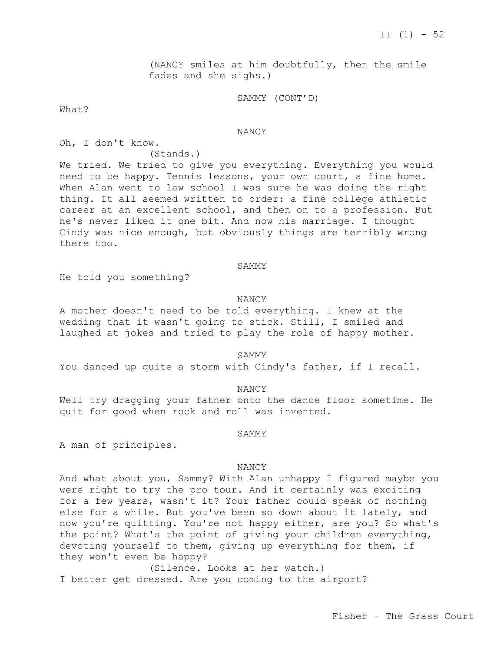(NANCY smiles at him doubtfully, then the smile fades and she sighs.)

SAMMY (CONT'D)

What?

NANCY

Oh, I don't know.

(Stands.)

We tried. We tried to give you everything. Everything you would need to be happy. Tennis lessons, your own court, a fine home. When Alan went to law school I was sure he was doing the right thing. It all seemed written to order: a fine college athletic career at an excellent school, and then on to a profession. But he's never liked it one bit. And now his marriage. I thought Cindy was nice enough, but obviously things are terribly wrong there too.

### SAMMY

He told you something?

# NANCY

A mother doesn't need to be told everything. I knew at the wedding that it wasn't going to stick. Still, I smiled and laughed at jokes and tried to play the role of happy mother.

**SAMMY** You danced up quite a storm with Cindy's father, if I recall.

### NANCY

Well try dragging your father onto the dance floor sometime. He quit for good when rock and roll was invented.

SAMMY

A man of principles.

### NANCY

And what about you, Sammy? With Alan unhappy I figured maybe you were right to try the pro tour. And it certainly was exciting for a few years, wasn't it? Your father could speak of nothing else for a while. But you've been so down about it lately, and now you're quitting. You're not happy either, are you? So what's the point? What's the point of giving your children everything, devoting yourself to them, giving up everything for them, if they won't even be happy?

(Silence. Looks at her watch.) I better get dressed. Are you coming to the airport?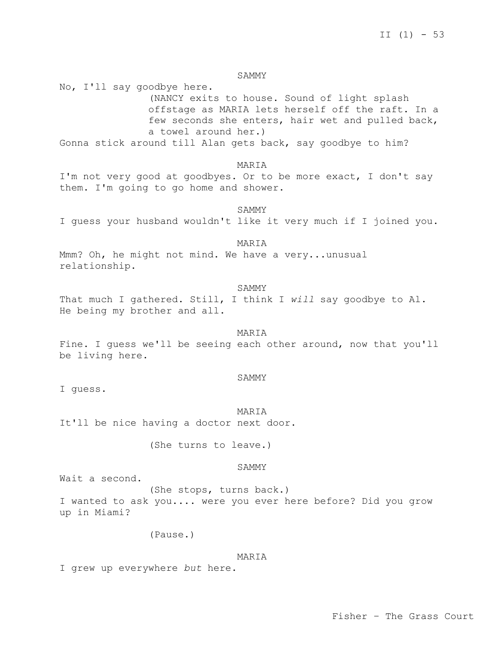No, I'll say goodbye here. (NANCY exits to house. Sound of light splash offstage as MARIA lets herself off the raft. In a few seconds she enters, hair wet and pulled back, a towel around her.) Gonna stick around till Alan gets back, say goodbye to him?

# MARIA

I'm not very good at goodbyes. Or to be more exact, I don't say them. I'm going to go home and shower.

SAMMY I guess your husband wouldn't like it very much if I joined you.

MARIA Mmm? Oh, he might not mind. We have a very...unusual relationship.

SAMMY That much I gathered. Still, I think I *will* say goodbye to Al. He being my brother and all.

### MARIA

Fine. I guess we'll be seeing each other around, now that you'll be living here.

#### SAMMY

I guess.

MARIA

It'll be nice having a doctor next door.

(She turns to leave.)

### SAMMY

Wait a second.

(She stops, turns back.)

I wanted to ask you.... were you ever here before? Did you grow up in Miami?

(Pause.)

## MARIA

I grew up everywhere *but* here.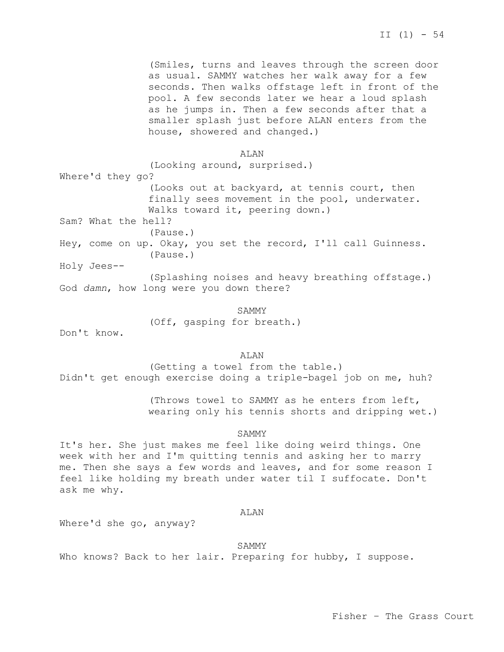(Smiles, turns and leaves through the screen door as usual. SAMMY watches her walk away for a few seconds. Then walks offstage left in front of the pool. A few seconds later we hear a loud splash as he jumps in. Then a few seconds after that a smaller splash just before ALAN enters from the house, showered and changed.)

#### ALAN

(Looking around, surprised.) Where'd they go? (Looks out at backyard, at tennis court, then finally sees movement in the pool, underwater. Walks toward it, peering down.) Sam? What the hell? (Pause.) Hey, come on up. Okay, you set the record, I'll call Guinness. (Pause.) Holy Jees-- (Splashing noises and heavy breathing offstage.) God *damn*, how long were you down there?

SAMMY

(Off, gasping for breath.)

Don't know.

# ALAN

(Getting a towel from the table.) Didn't get enough exercise doing a triple-bagel job on me, huh?

> (Throws towel to SAMMY as he enters from left, wearing only his tennis shorts and dripping wet.)

#### SAMMY

It's her. She just makes me feel like doing weird things. One week with her and I'm quitting tennis and asking her to marry me. Then she says a few words and leaves, and for some reason I feel like holding my breath under water til I suffocate. Don't ask me why.

## ALAN

Where'd she go, anyway?

SAMMY

Who knows? Back to her lair. Preparing for hubby, I suppose.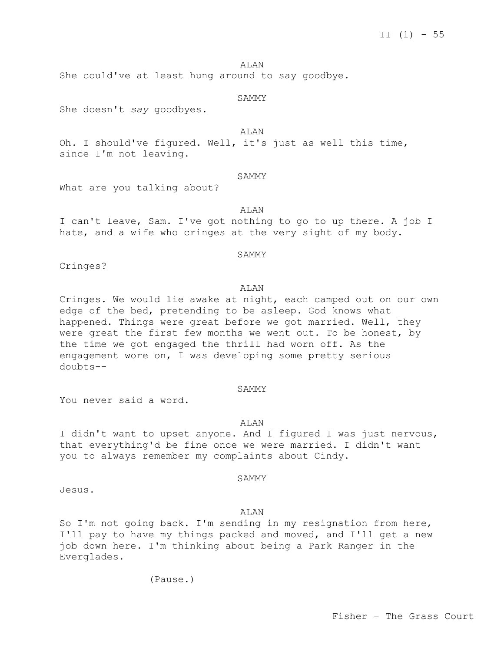ALAN

She could've at least hung around to say goodbye.

### SAMMY

She doesn't *say* goodbyes.

# ALAN

Oh. I should've figured. Well, it's just as well this time, since I'm not leaving.

## SAMMY

What are you talking about?

### ALAN

I can't leave, Sam. I've got nothing to go to up there. A job I hate, and a wife who cringes at the very sight of my body.

### SAMMY

Cringes?

### ALAN

Cringes. We would lie awake at night, each camped out on our own edge of the bed, pretending to be asleep. God knows what happened. Things were great before we got married. Well, they were great the first few months we went out. To be honest, by the time we got engaged the thrill had worn off. As the engagement wore on, I was developing some pretty serious doubts--

## SAMMY

You never said a word.

## ALAN

I didn't want to upset anyone. And I figured I was just nervous, that everything'd be fine once we were married. I didn't want you to always remember my complaints about Cindy.

#### SAMMY

Jesus.

## ALAN

So I'm not going back. I'm sending in my resignation from here, I'll pay to have my things packed and moved, and I'll get a new job down here. I'm thinking about being a Park Ranger in the Everglades.

(Pause.)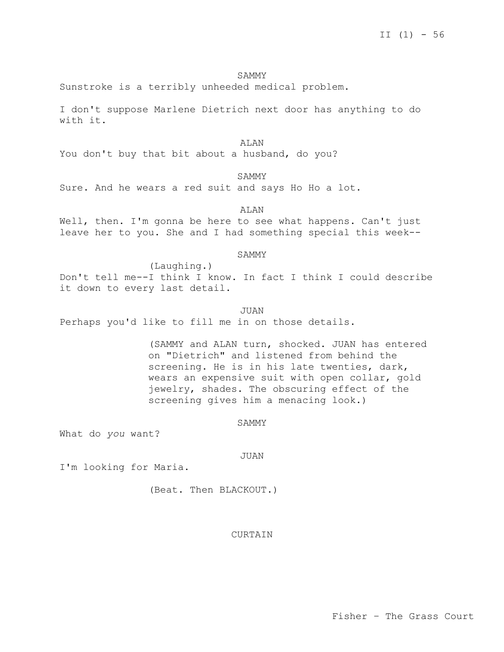Sunstroke is a terribly unheeded medical problem.

I don't suppose Marlene Dietrich next door has anything to do with it.

### ALAN

You don't buy that bit about a husband, do you?

# SAMMY

Sure. And he wears a red suit and says Ho Ho a lot.

ALAN

Well, then. I'm gonna be here to see what happens. Can't just leave her to you. She and I had something special this week--

#### SAMMY

(Laughing.) Don't tell me--I think I know. In fact I think I could describe it down to every last detail.

#### JUAN

Perhaps you'd like to fill me in on those details.

(SAMMY and ALAN turn, shocked. JUAN has entered on "Dietrich" and listened from behind the screening. He is in his late twenties, dark, wears an expensive suit with open collar, gold jewelry, shades. The obscuring effect of the screening gives him a menacing look.)

SAMMY

What do *you* want?

#### JUAN

I'm looking for Maria.

(Beat. Then BLACKOUT.)

# CURTAIN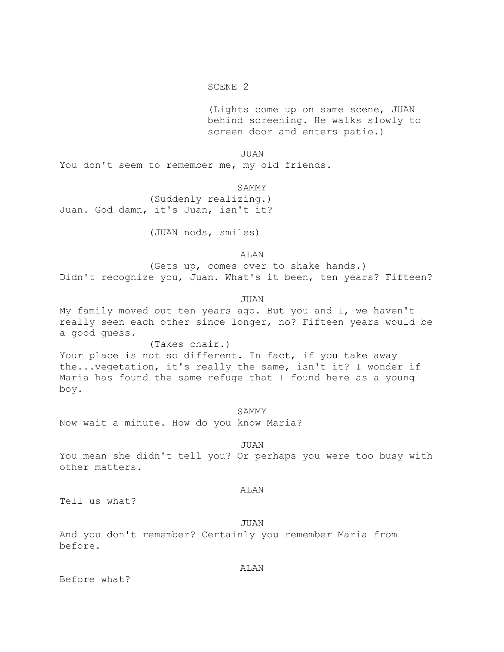# SCENE 2

(Lights come up on same scene, JUAN behind screening. He walks slowly to screen door and enters patio.)

JUAN

You don't seem to remember me, my old friends.

SAMMY

(Suddenly realizing.) Juan. God damn, it's Juan, isn't it?

(JUAN nods, smiles)

ALAN

(Gets up, comes over to shake hands.) Didn't recognize you, Juan. What's it been, ten years? Fifteen?

JUAN

My family moved out ten years ago. But you and I, we haven't really seen each other since longer, no? Fifteen years would be a good guess.

(Takes chair.) Your place is not so different. In fact, if you take away the...vegetation, it's really the same, isn't it? I wonder if Maria has found the same refuge that I found here as a young boy.

Now wait a minute. How do you know Maria?

JUAN

SAMMY

You mean she didn't tell you? Or perhaps you were too busy with other matters.

# ALAN

Tell us what?

JUAN

And you don't remember? Certainly you remember Maria from before.

ALAN

Before what?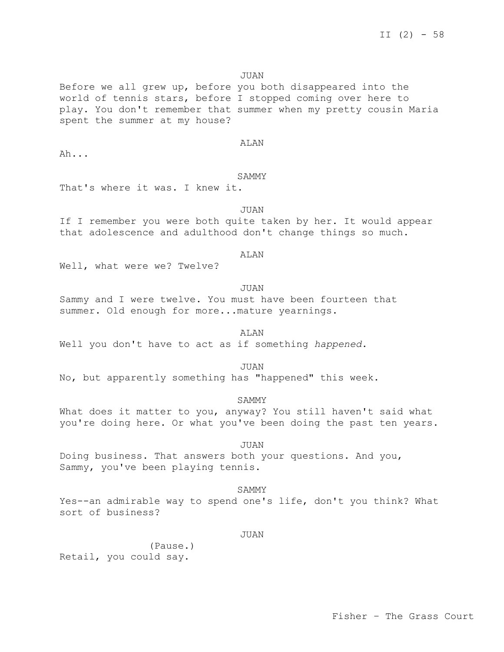JUAN

Before we all grew up, before you both disappeared into the world of tennis stars, before I stopped coming over here to play. You don't remember that summer when my pretty cousin Maria spent the summer at my house?

#### ALAN

Ah...

# SAMMY

That's where it was. I knew it.

JUAN

If I remember you were both quite taken by her. It would appear that adolescence and adulthood don't change things so much.

#### ALAN

Well, what were we? Twelve?

JUAN Sammy and I were twelve. You must have been fourteen that summer. Old enough for more...mature yearnings.

ALAN Well you don't have to act as if something *happened*.

JUAN No, but apparently something has "happened" this week.

What does it matter to you, anyway? You still haven't said what you're doing here. Or what you've been doing the past ten years.

SAMMY

JUAN Doing business. That answers both your questions. And you, Sammy, you've been playing tennis.

SAMMY

Yes--an admirable way to spend one's life, don't you think? What sort of business?

JUAN

(Pause.) Retail, you could say.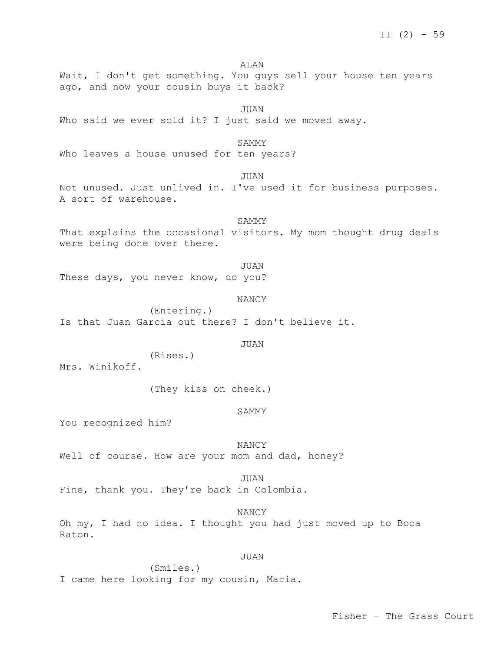ALAN

Wait, I don't get something. You guys sell your house ten years ago, and now your cousin buys it back?

JUAN Who said we ever sold it? I just said we moved away.

SAMMY

Who leaves a house unused for ten years?

JUAN

Not unused. Just unlived in. I've used it for business purposes. A sort of warehouse.

SAMMY

That explains the occasional visitors. My mom thought drug deals were being done over there.

JUAN

These days, you never know, do you?

NANCY

(Entering.) Is that Juan Garcia out there? I don't believe it.

JUAN

(Rises.) Mrs. Winikoff.

(They kiss on cheek.)

### SAMMY

You recognized him?

NANCY

Well of course. How are your mom and dad, honey?

JUAN

Fine, thank you. They're back in Colombia.

NANCY Oh my, I had no idea. I thought you had just moved up to Boca Raton.

# JUAN

(Smiles.) I came here looking for my cousin, Maria.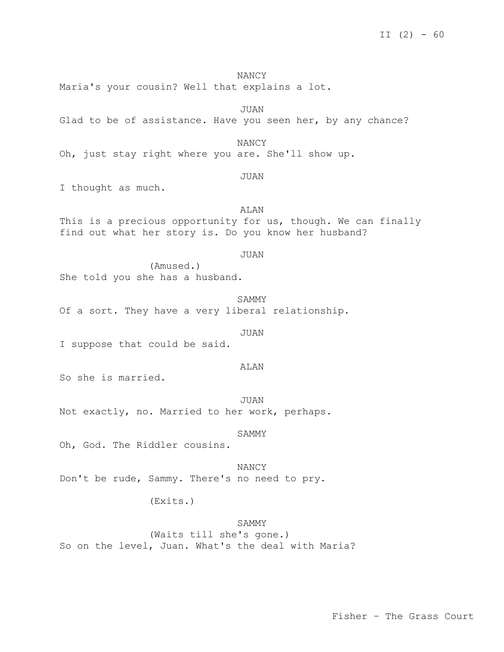### NANCY

Maria's your cousin? Well that explains a lot.

JUAN Glad to be of assistance. Have you seen her, by any chance?

NANCY

JUAN

Oh, just stay right where you are. She'll show up.

I thought as much.

ALAN This is a precious opportunity for us, though. We can finally find out what her story is. Do you know her husband?

#### JUAN

(Amused.) She told you she has a husband.

SAMMY Of a sort. They have a very liberal relationship.

JUAN

I suppose that could be said.

## ALAN

So she is married.

JUAN Not exactly, no. Married to her work, perhaps.

SAMMY

Oh, God. The Riddler cousins.

NANCY

Don't be rude, Sammy. There's no need to pry.

(Exits.)

# SAMMY

(Waits till she's gone.) So on the level, Juan. What's the deal with Maria?

Fisher – The Grass Court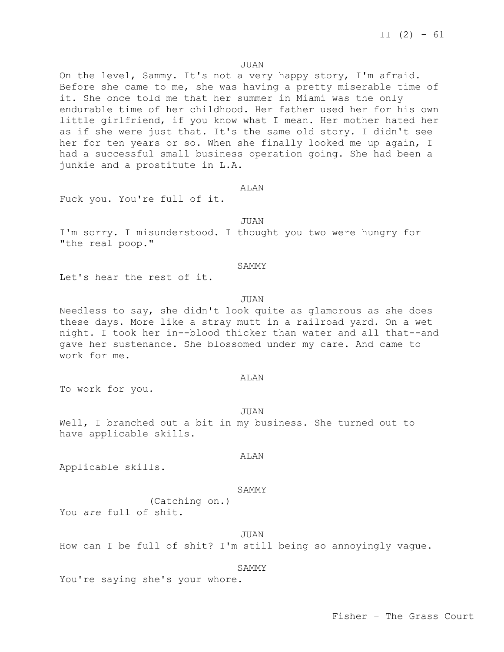## JUAN

On the level, Sammy. It's not a very happy story, I'm afraid. Before she came to me, she was having a pretty miserable time of it. She once told me that her summer in Miami was the only endurable time of her childhood. Her father used her for his own little girlfriend, if you know what I mean. Her mother hated her as if she were just that. It's the same old story. I didn't see her for ten years or so. When she finally looked me up again, I had a successful small business operation going. She had been a junkie and a prostitute in L.A.

#### ALAN

Fuck you. You're full of it.

#### JUAN

I'm sorry. I misunderstood. I thought you two were hungry for "the real poop."

### SAMMY

Let's hear the rest of it.

## JUAN

Needless to say, she didn't look quite as glamorous as she does these days. More like a stray mutt in a railroad yard. On a wet night. I took her in--blood thicker than water and all that--and gave her sustenance. She blossomed under my care. And came to work for me.

#### ALAN

To work for you.

JUAN Well, I branched out a bit in my business. She turned out to have applicable skills.

#### ALAN

Applicable skills.

#### SAMMY

(Catching on.) You *are* full of shit.

### JUAN

How can I be full of shit? I'm still being so annoyingly vague.

# SAMMY

You're saying she's your whore.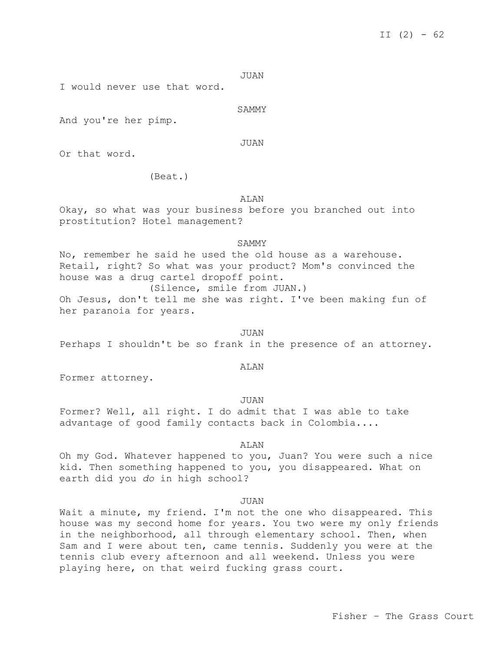JUAN

I would never use that word.

SAMMY

And you're her pimp.

JUAN

Or that word.

(Beat.)

ALAN

Okay, so what was your business before you branched out into prostitution? Hotel management?

SAMMY

No, remember he said he used the old house as a warehouse. Retail, right? So what was your product? Mom's convinced the house was a drug cartel dropoff point. (Silence, smile from JUAN.) Oh Jesus, don't tell me she was right. I've been making fun of her paranoia for years.

JUAN

Perhaps I shouldn't be so frank in the presence of an attorney.

## ALAN

Former attorney.

### JUAN

Former? Well, all right. I do admit that I was able to take advantage of good family contacts back in Colombia....

ALAN

Oh my God. Whatever happened to you, Juan? You were such a nice kid. Then something happened to you, you disappeared. What on earth did you *do* in high school?

JUAN

Wait a minute, my friend. I'm not the one who disappeared. This house was my second home for years. You two were my only friends in the neighborhood, all through elementary school. Then, when Sam and I were about ten, came tennis. Suddenly you were at the tennis club every afternoon and all weekend. Unless you were playing here, on that weird fucking grass court.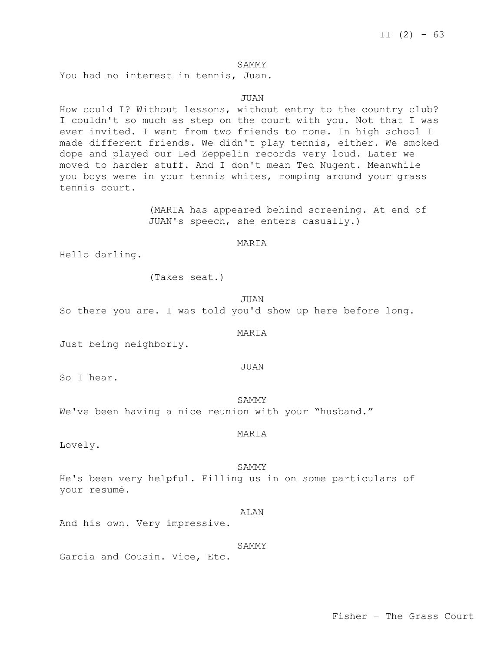II  $(2) - 63$ 

### SAMMY

You had no interest in tennis, Juan.

### JUAN

How could I? Without lessons, without entry to the country club? I couldn't so much as step on the court with you. Not that I was ever invited. I went from two friends to none. In high school I made different friends. We didn't play tennis, either. We smoked dope and played our Led Zeppelin records very loud. Later we moved to harder stuff. And I don't mean Ted Nugent. Meanwhile you boys were in your tennis whites, romping around your grass tennis court.

> (MARIA has appeared behind screening. At end of JUAN's speech, she enters casually.)

## MARIA

Hello darling.

(Takes seat.)

JUAN So there you are. I was told you'd show up here before long.

### MARIA

Just being neighborly.

JUAN

So I hear.

SAMMY We've been having a nice reunion with your "husband."

MARIA

Lovely.

SAMMY

He's been very helpful. Filling us in on some particulars of your resumé.

### ALAN

And his own. Very impressive.

SAMMY

Garcia and Cousin. Vice, Etc.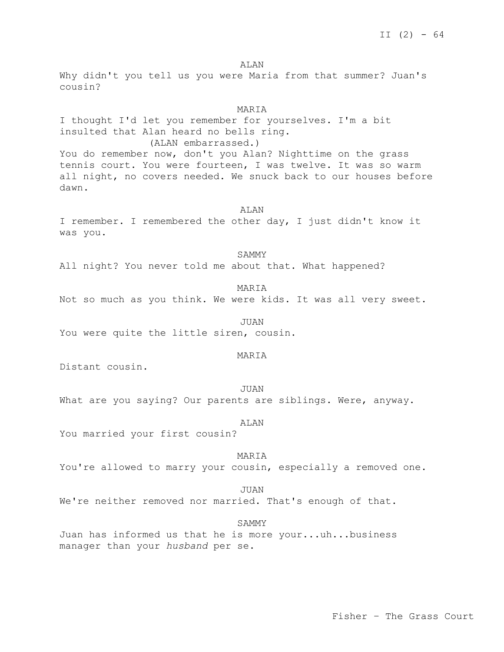II  $(2) - 64$ 

ALAN

Why didn't you tell us you were Maria from that summer? Juan's cousin?

MARIA

I thought I'd let you remember for yourselves. I'm a bit insulted that Alan heard no bells ring. (ALAN embarrassed.) You do remember now, don't you Alan? Nighttime on the grass tennis court. You were fourteen, I was twelve. It was so warm all night, no covers needed. We snuck back to our houses before dawn.

ALAN

I remember. I remembered the other day, I just didn't know it was you.

SAMMY

All night? You never told me about that. What happened?

MARIA Not so much as you think. We were kids. It was all very sweet.

JUAN You were quite the little siren, cousin.

## MARIA

Distant cousin.

JUAN What are you saying? Our parents are siblings. Were, anyway.

ALAN

You married your first cousin?

MARIA

You're allowed to marry your cousin, especially a removed one.

JUAN We're neither removed nor married. That's enough of that.

SAMMY Juan has informed us that he is more your...uh...business manager than your *husband* per se.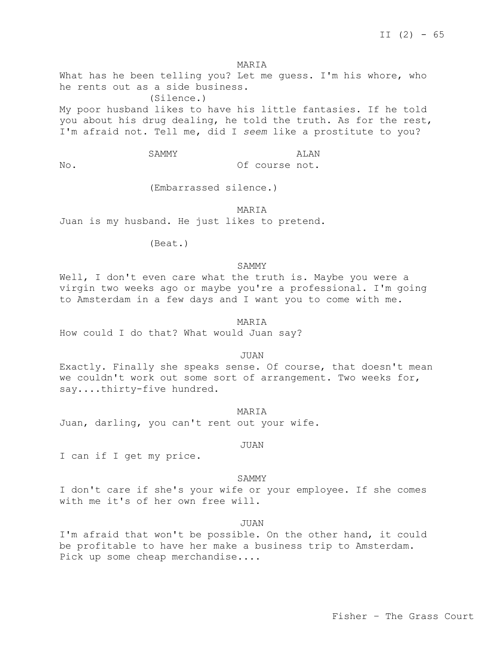MARIA

What has he been telling you? Let me quess. I'm his whore, who he rents out as a side business. (Silence.) My poor husband likes to have his little fantasies. If he told you about his drug dealing, he told the truth. As for the rest, I'm afraid not. Tell me, did I *seem* like a prostitute to you?

SAMMY ALAN

No. Of course not.

(Embarrassed silence.)

MARIA Juan is my husband. He just likes to pretend.

(Beat.)

### SAMMY

Well, I don't even care what the truth is. Maybe you were a virgin two weeks ago or maybe you're a professional. I'm going to Amsterdam in a few days and I want you to come with me.

MARIA

How could I do that? What would Juan say?

JUAN

Exactly. Finally she speaks sense. Of course, that doesn't mean we couldn't work out some sort of arrangement. Two weeks for, say....thirty-five hundred.

MARIA

Juan, darling, you can't rent out your wife.

JUAN

I can if I get my price.

SAMMY

I don't care if she's your wife or your employee. If she comes with me it's of her own free will.

### JUAN

I'm afraid that won't be possible. On the other hand, it could be profitable to have her make a business trip to Amsterdam. Pick up some cheap merchandise....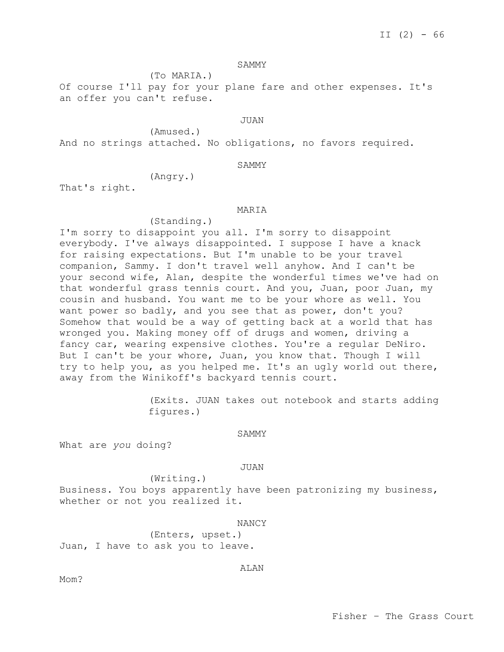(To MARIA.)

Of course I'll pay for your plane fare and other expenses. It's an offer you can't refuse.

### JUAN

(Amused.) And no strings attached. No obligations, no favors required.

### SAMMY

(Angry.)

That's right.

#### MARIA

(Standing.)

I'm sorry to disappoint you all. I'm sorry to disappoint everybody. I've always disappointed. I suppose I have a knack for raising expectations. But I'm unable to be your travel companion, Sammy. I don't travel well anyhow. And I can't be your second wife, Alan, despite the wonderful times we've had on that wonderful grass tennis court. And you, Juan, poor Juan, my cousin and husband. You want me to be your whore as well. You want power so badly, and you see that as power, don't you? Somehow that would be a way of getting back at a world that has wronged you. Making money off of drugs and women, driving a fancy car, wearing expensive clothes. You're a regular DeNiro. But I can't be your whore, Juan, you know that. Though I will try to help you, as you helped me. It's an ugly world out there, away from the Winikoff's backyard tennis court.

> (Exits. JUAN takes out notebook and starts adding figures.)

> > SAMMY

What are *you* doing?

JUAN

(Writing.) Business. You boys apparently have been patronizing my business, whether or not you realized it.

#### NANCY

(Enters, upset.) Juan, I have to ask you to leave.

ALAN

Mom?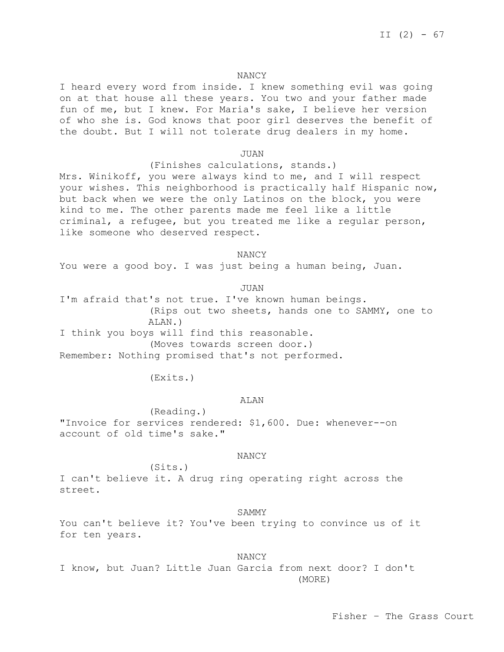#### NANCY

I heard every word from inside. I knew something evil was going on at that house all these years. You two and your father made fun of me, but I knew. For Maria's sake, I believe her version of who she is. God knows that poor girl deserves the benefit of the doubt. But I will not tolerate drug dealers in my home.

### JUAN

(Finishes calculations, stands.)

Mrs. Winikoff, you were always kind to me, and I will respect your wishes. This neighborhood is practically half Hispanic now, but back when we were the only Latinos on the block, you were kind to me. The other parents made me feel like a little criminal, a refugee, but you treated me like a regular person, like someone who deserved respect.

#### NANCY

You were a good boy. I was just being a human being, Juan.

JUAN

I'm afraid that's not true. I've known human beings. (Rips out two sheets, hands one to SAMMY, one to ALAN.) I think you boys will find this reasonable. (Moves towards screen door.) Remember: Nothing promised that's not performed.

(Exits.)

### **ALAN**

(Reading.) "Invoice for services rendered: \$1,600. Due: whenever--on account of old time's sake."

#### NANCY

(Sits.)

I can't believe it. A drug ring operating right across the street.

### SAMMY

You can't believe it? You've been trying to convince us of it for ten years.

## NANCY

I know, but Juan? Little Juan Garcia from next door? I don't (MORE)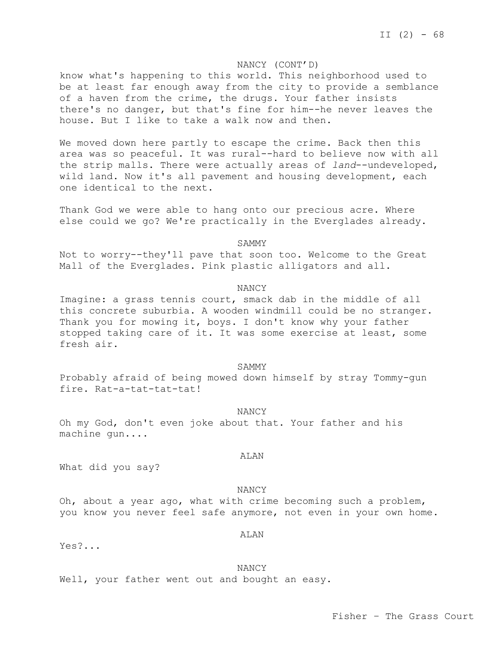# NANCY (CONT'D)

know what's happening to this world. This neighborhood used to be at least far enough away from the city to provide a semblance of a haven from the crime, the drugs. Your father insists there's no danger, but that's fine for him--he never leaves the house. But I like to take a walk now and then.

We moved down here partly to escape the crime. Back then this area was so peaceful. It was rural--hard to believe now with all the strip malls. There were actually areas of *land*--undeveloped, wild land. Now it's all pavement and housing development, each one identical to the next.

Thank God we were able to hang onto our precious acre. Where else could we go? We're practically in the Everglades already.

SAMMY

Not to worry--they'll pave that soon too. Welcome to the Great Mall of the Everglades. Pink plastic alligators and all.

#### NANCY

Imagine: a grass tennis court, smack dab in the middle of all this concrete suburbia. A wooden windmill could be no stranger. Thank you for mowing it, boys. I don't know why your father stopped taking care of it. It was some exercise at least, some fresh air.

#### SAMMY

Probably afraid of being mowed down himself by stray Tommy-gun fire. Rat-a-tat-tat-tat!

### NANCY

Oh my God, don't even joke about that. Your father and his machine gun....

# ALAN

What did you say?

#### NANCY

Oh, about a year ago, what with crime becoming such a problem, you know you never feel safe anymore, not even in your own home.

#### ALAN

Yes?...

NANCY Well, your father went out and bought an easy.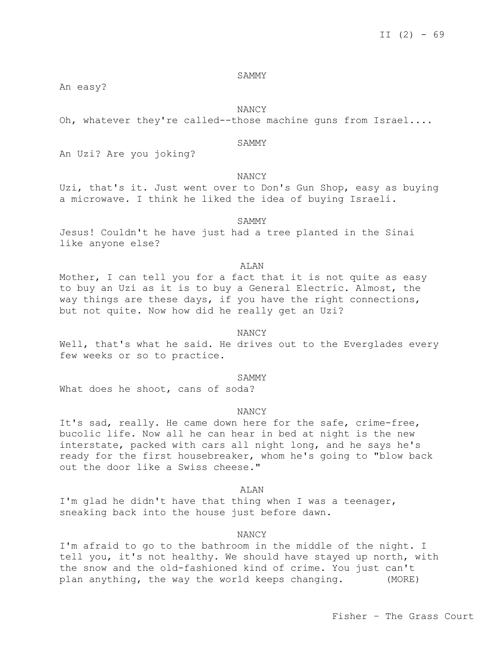An easy?

NANCY

Oh, whatever they're called--those machine guns from Israel....

#### SAMMY

An Uzi? Are you joking?

## NANCY

Uzi, that's it. Just went over to Don's Gun Shop, easy as buying a microwave. I think he liked the idea of buying Israeli.

SAMMY

Jesus! Couldn't he have just had a tree planted in the Sinai like anyone else?

## ALAN

Mother, I can tell you for a fact that it is not quite as easy to buy an Uzi as it is to buy a General Electric. Almost, the way things are these days, if you have the right connections, but not quite. Now how did he really get an Uzi?

## NANCY

Well, that's what he said. He drives out to the Everglades every few weeks or so to practice.

#### SAMMY

What does he shoot, cans of soda?

### NANCY

It's sad, really. He came down here for the safe, crime-free, bucolic life. Now all he can hear in bed at night is the new interstate, packed with cars all night long, and he says he's ready for the first housebreaker, whom he's going to "blow back out the door like a Swiss cheese."

# **ALAN**

I'm glad he didn't have that thing when I was a teenager, sneaking back into the house just before dawn.

### NANCY

I'm afraid to go to the bathroom in the middle of the night. I tell you, it's not healthy. We should have stayed up north, with the snow and the old-fashioned kind of crime. You just can't plan anything, the way the world keeps changing. (MORE)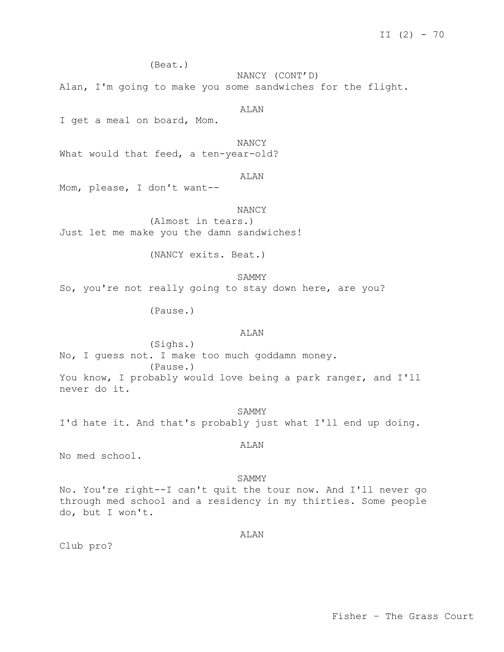(Beat.)

NANCY (CONT'D)

Alan, I'm going to make you some sandwiches for the flight.

ALAN

I get a meal on board, Mom.

NANCY What would that feed, a ten-year-old?

ALAN

Mom, please, I don't want--

NANCY

(Almost in tears.) Just let me make you the damn sandwiches!

(NANCY exits. Beat.)

SAMMY

So, you're not really going to stay down here, are you?

(Pause.)

## **ALAN**

(Sighs.) No, I guess not. I make too much goddamn money. (Pause.) You know, I probably would love being a park ranger, and I'll never do it.

SAMMY I'd hate it. And that's probably just what I'll end up doing.

### ALAN

No med school.

#### SAMMY

No. You're right--I can't quit the tour now. And I'll never go through med school and a residency in my thirties. Some people do, but I won't.

ALAN

Club pro?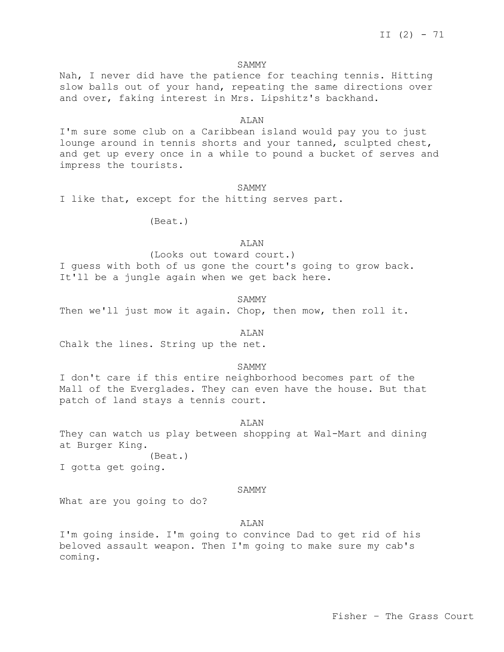#### SAMMY

Nah, I never did have the patience for teaching tennis. Hitting slow balls out of your hand, repeating the same directions over and over, faking interest in Mrs. Lipshitz's backhand.

#### ALAN

I'm sure some club on a Caribbean island would pay you to just lounge around in tennis shorts and your tanned, sculpted chest, and get up every once in a while to pound a bucket of serves and impress the tourists.

### SAMMY

I like that, except for the hitting serves part.

(Beat.)

### **ALAN**

(Looks out toward court.) I guess with both of us gone the court's going to grow back. It'll be a jungle again when we get back here.

SAMMY Then we'll just mow it again. Chop, then mow, then roll it.

#### ALAN

Chalk the lines. String up the net.

#### SAMMY

I don't care if this entire neighborhood becomes part of the Mall of the Everglades. They can even have the house. But that patch of land stays a tennis court.

ALAN

They can watch us play between shopping at Wal-Mart and dining at Burger King.

(Beat.)

I gotta get going.

#### SAMMY

What are you going to do?

#### ALAN

I'm going inside. I'm going to convince Dad to get rid of his beloved assault weapon. Then I'm going to make sure my cab's coming.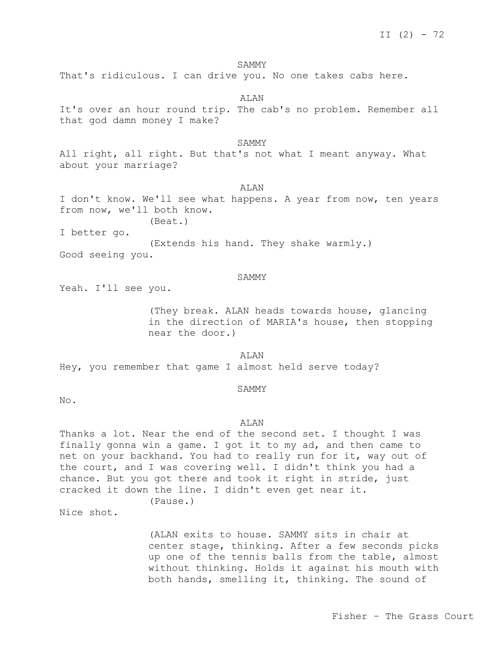SAMMY

That's ridiculous. I can drive you. No one takes cabs here.

ALAN

It's over an hour round trip. The cab's no problem. Remember all that god damn money I make?

SAMMY

All right, all right. But that's not what I meant anyway. What about your marriage?

ALAN

I don't know. We'll see what happens. A year from now, ten years from now, we'll both know.

(Beat.)

I better go.

(Extends his hand. They shake warmly.) Good seeing you.

#### SAMMY

Yeah. I'll see you.

(They break. ALAN heads towards house, glancing in the direction of MARIA's house, then stopping near the door.)

ALAN Hey, you remember that game I almost held serve today?

#### SAMMY

No.

#### ALAN

Thanks a lot. Near the end of the second set. I thought I was finally gonna win a game. I got it to my ad, and then came to net on your backhand. You had to really run for it, way out of the court, and I was covering well. I didn't think you had a chance. But you got there and took it right in stride, just cracked it down the line. I didn't even get near it. (Pause.)

Nice shot.

(ALAN exits to house. SAMMY sits in chair at center stage, thinking. After a few seconds picks up one of the tennis balls from the table, almost without thinking. Holds it against his mouth with both hands, smelling it, thinking. The sound of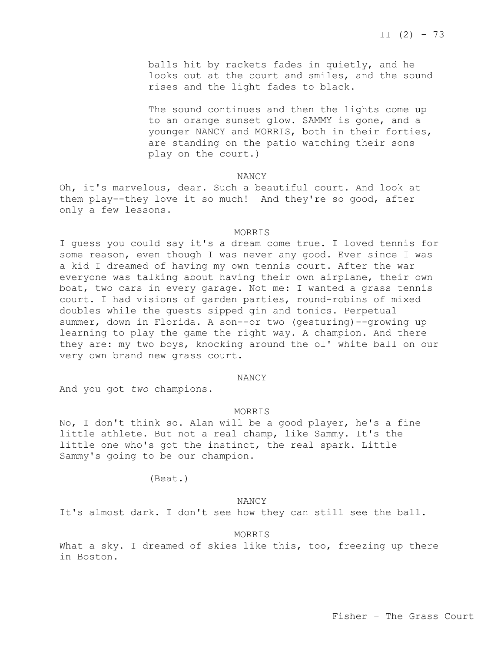balls hit by rackets fades in quietly, and he looks out at the court and smiles, and the sound rises and the light fades to black.

The sound continues and then the lights come up to an orange sunset glow. SAMMY is gone, and a younger NANCY and MORRIS, both in their forties, are standing on the patio watching their sons play on the court.)

#### NANCY

Oh, it's marvelous, dear. Such a beautiful court. And look at them play--they love it so much! And they're so good, after only a few lessons.

#### MORRIS

I guess you could say it's a dream come true. I loved tennis for some reason, even though I was never any good. Ever since I was a kid I dreamed of having my own tennis court. After the war everyone was talking about having their own airplane, their own boat, two cars in every garage. Not me: I wanted a grass tennis court. I had visions of garden parties, round-robins of mixed doubles while the guests sipped gin and tonics. Perpetual summer, down in Florida. A son--or two (gesturing)--growing up learning to play the game the right way. A champion. And there they are: my two boys, knocking around the ol' white ball on our very own brand new grass court.

#### NANCY

And you got *two* champions.

## MORRIS

No, I don't think so. Alan will be a good player, he's a fine little athlete. But not a real champ, like Sammy. It's the little one who's got the instinct, the real spark. Little Sammy's going to be our champion.

(Beat.)

### NANCY

It's almost dark. I don't see how they can still see the ball.

#### MORRIS

What a sky. I dreamed of skies like this, too, freezing up there in Boston.